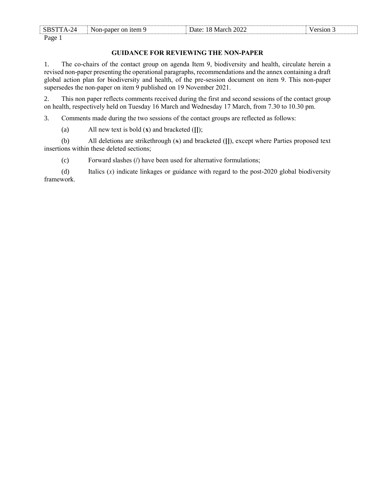| -SBS'<br>$\gamma_{\varDelta}$    | Non-paper on item 9 | March 2022<br>Date:<br>∣× | ersion |
|----------------------------------|---------------------|---------------------------|--------|
| Page<br>$\overline{\phantom{0}}$ |                     |                           |        |

### **GUIDANCE FOR REVIEWING THE NON-PAPER**

1. The co-chairs of the contact group on agenda Item 9, biodiversity and health, circulate herein a revised non-paper presenting the operational paragraphs, recommendations and the annex containing a draft global action plan for biodiversity and health, of the pre-session document on item 9. This non-paper supersedes the non-paper on item 9 published on 19 November 2021.

2. This non paper reflects comments received during the first and second sessions of the contact group on health, respectively held on Tuesday 16 March and Wednesday 17 March, from 7.30 to 10.30 pm.

3. Comments made during the two sessions of the contact groups are reflected as follows:

(a) All new text is bold (**x**) and bracketed (**[]**);

(b) All deletions are strikethrough (x) and bracketed (**[]**), except where Parties proposed text insertions within these deleted sections;

(c) Forward slashes (**/**) have been used for alternative formulations;

(d) Italics (*x*) indicate linkages or guidance with regard to the post-2020 global biodiversity framework.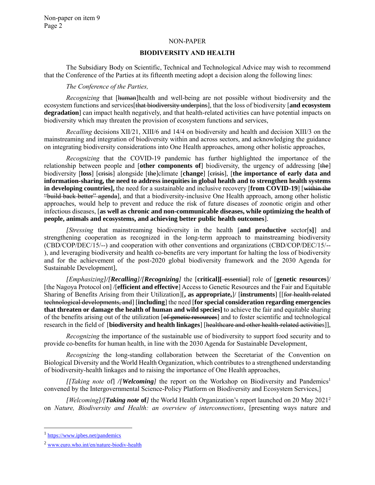#### NON-PAPER

#### **BIODIVERSITY AND HEALTH**

The Subsidiary Body on Scientific, Technical and Technological Advice may wish to recommend that the Conference of the Parties at its fifteenth meeting adopt a decision along the following lines:

#### *The Conference of the Parties,*

*Recognizing* that [human]health and well-being are not possible without biodiversity and the ecosystem functions and services[that biodiversity underpins], that the loss of biodiversity [**and ecosystem degradation**] can impact health negatively, and that health-related activities can have potential impacts on biodiversity which may threaten the provision of ecosystem functions and services,

*Recalling* decisions XII/21, XIII/6 and 14/4 on biodiversity and health and decision XIII/3 on the mainstreaming and integration of biodiversity within and across sectors, and acknowledging the guidance on integrating biodiversity considerations into One Health approaches, among other holistic approaches,

*Recognizing* that the COVID-19 pandemic has further highlighted the importance of the relationship between people and [**other components of**] biodiversity, the urgency of addressing [the] biodiversity [**loss**] [crisis] alongside [the]climate [**change**] [crisis], [**the importance of early data and information-sharing, the need to address inequities in global health and to strengthen health systems in developing countries],** the need for a sustainable and inclusive recovery [**from COVID-19**] [within the "build back better" agenda], and that a biodiversity-inclusive One Health approach, among other holistic approaches, would help to prevent and reduce the risk of future diseases of zoonotic origin and other infectious diseases, [**as well as chronic and non-communicable diseases, while optimizing the health of people, animals and ecosystems, and achieving better public health outcomes**].

*[Stressing* that mainstreaming biodiversity in the health [**and productive** sector[**s]**] and strengthening cooperation as recognized in the long-term approach to mainstreaming biodiversity (CBD/COP/DEC/15/--) and cooperation with other conventions and organizations (CBD/COP/DEC/15/-- ), and leveraging biodiversity and health co-benefits are very important for halting the loss of biodiversity and for the achievement of the post-2020 global biodiversity framework and the 2030 Agenda for Sustainable Development],

*[Emphasizing]/[Recalling]/[Recognizing]* the [**critical][** essential] role of [**genetic resources**]/ [the Nagoya Protocol on] /[**efficient and effective**] Access to Genetic Resources and the Fair and Equitable Sharing of Benefits Arising from their Utilization][**, as appropriate,**]/ [**instruments**] [[for health-related technological developments, and] [**including**] the need [**for special consideration regarding emergencies that threaten or damage the health of human and wild species]** to achieve the fair and equitable sharing of the benefits arising out of the utilization [of genetic resources] and to foster scientific and technological research in the field of **[biodiversity and health linkages**] [healthcare and other health-related activities]],

*Recognizing* the importance of the sustainable use of biodiversity to support food security and to provide co-benefits for human health, in line with the 2030 Agenda for Sustainable Development,

*Recognizing* the long-standing collaboration between the Secretariat of the Convention on Biological Diversity and the World Health Organization, which contributes to a strengthened understanding of biodiversity-health linkages and to raising the importance of One Health approaches,

*[[Taking note* of] */[Welcoming]* the report on the Workshop on Biodiversity and Pandemics<sup>1</sup> convened by the Intergovernmental Science-Policy Platform on Biodiversity and Ecosystem Services,]

*[Welcoming]/[Taking note* **of***]* the World Health Organization's report launched on 20 May 2021<sup>2</sup> on *Nature, Biodiversity and Health: an overview of interconnections*, [presenting ways nature and

l

<sup>&</sup>lt;sup>1</sup> <https://www.ipbes.net/pandemics>

<sup>2</sup> [www.euro.who.int/en/nature-biodiv-health](http://www.euro.who.int/en/nature-biodiv-health)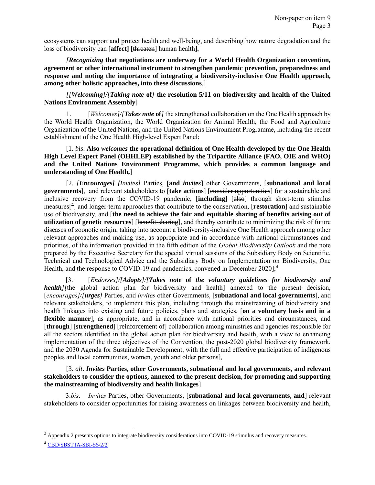ecosystems can support and protect health and well-being, and describing how nature degradation and the loss of biodiversity can [**affect] [**threaten] human health],

*[Recognizing* **that negotiations are underway for a World Health Organization convention, agreement or other international instrument to strengthen pandemic prevention, preparedness and response and noting the importance of integrating a biodiversity-inclusive One Health approach, among other holistic approaches, into these discussions**,]

*[[Welcoming]/[Taking note* **of***]* **the resolution 5/11 on biodiversity and health of the United Nations Environment Assembly**]

1. [*Welcomes]/[Takes note* **of***]* the strengthened collaboration on the One Health approach by the World Health Organization, the World Organization for Animal Health, the Food and Agriculture Organization of the United Nations, and the United Nations Environment Programme, including the recent establishment of the One Health High-level Expert Panel;

[1. *bis*. **Also** *welcomes* **the operational definition of One Health developed by the One Health High Level Expert Panel (OHHLEP) established by the Tripartite Alliance (FAO, OIE and WHO) and the United Nations Environment Programme, which provides a common language and understanding of One Health,**]

[2. *[Encourages] [Invites]* Parties, [**and** *invites*] other Governments, [**subnational and local governments**], and relevant stakeholders to [**take actions**] [consider opportunities] for a sustainable and inclusive recovery from the COVID-19 pandemic, [**including**] [also] through short-term stimulus measures[ 3 ] and longer-term approaches that contribute to the conservation, [**restoration**] and sustainable use of biodiversity, and [**the need to achieve the fair and equitable sharing of benefits arising out of utilization of genetic resources**] [benefit-sharing], and thereby contribute to minimizing the risk of future diseases of zoonotic origin, taking into account a biodiversity-inclusive One Health approach among other relevant approaches and making use, as appropriate and in accordance with national circumstances and priorities, of the information provided in the fifth edition of the *Global Biodiversity Outlook* and the note prepared by the Executive Secretary for the special virtual sessions of the Subsidiary Body on Scientific, Technical and Technological Advice and the Subsidiary Body on Implementation on Biodiversity, One Health, and the response to COVID-19 and pandemics, convened in December 2020];<sup>4</sup>

[3. [*Endorses]/[Adopts]/[Takes note* **of** *the voluntary guidelines for biodiversity and health]*[the global action plan for biodiversity and health] annexed to the present decision, [*encourages]/[urges]* Parties, and *invites* other Governments, [**subnational and local governments**], and relevant stakeholders, to implement this plan, including through the mainstreaming of biodiversity and health linkages into existing and future policies, plans and strategies, [**on a voluntary basis and in a flexible manner**], as appropriate, and in accordance with national priorities and circumstances, and [**through**] [**strengthened**] [reinforcement of] collaboration among ministries and agencies responsible for all the sectors identified in the global action plan for biodiversity and health, with a view to enhancing implementation of the three objectives of the Convention, the post-2020 global biodiversity framework, and the 2030 Agenda for Sustainable Development, with the full and effective participation of indigenous peoples and local communities, women, youth and older persons],

[3. *alt*. *Invites* **Parties, other Governments, subnational and local governments, and relevant stakeholders to consider the options, annexed to the present decision, for promoting and supporting the mainstreaming of biodiversity and health linkages**]

3.*bis*. *Invites* Parties, other Governments, [**subnational and local governments, and**] relevant stakeholders to consider opportunities for raising awareness on linkages between biodiversity and health,

l

 $3$  Appendix 2 presents options to integrate biodiversity considerations into COVID-19 stimulus and recovery measures.

<sup>4</sup> [CBD/SBSTTA-SBI-SS/2/2](https://www.cbd.int/doc/c/44f2/38b3/cf38b99f5527f600c19e3c09/sbstta-sbi-ss-02-02-en.pdf)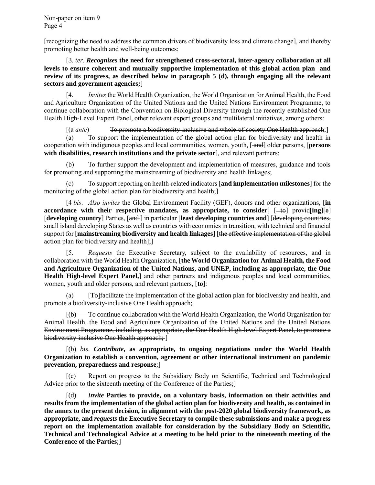[recognizing the need to address the common drivers of biodiversity loss and climate change], and thereby promoting better health and well-being outcomes;

[3. *ter*. *Recognizes* **the need for strengthened cross-sectoral, inter-agency collaboration at all levels to ensure coherent and mutually supportive implementation of this global action plan and review of its progress, as described below in paragraph 5 (d), through engaging all the relevant sectors and government agencies;**]

[4. *Invites* the World Health Organization, the World Organization for Animal Health, the Food and Agriculture Organization of the United Nations and the United Nations Environment Programme, to continue collaboration with the Convention on Biological Diversity through the recently established One Health High-Level Expert Panel, other relevant expert groups and multilateral initiatives, among others:

[(a ante) To promote a biodiversity-inclusive and whole-of-society One Health approach;]

(a) To support the implementation of the global action plan for biodiversity and health in cooperation with indigenous peoples and local communities, women, youth, [ and] older persons, [**persons with disabilities, research institutions and the private sector**], and relevant partners;

To further support the development and implementation of measures, guidance and tools for promoting and supporting the mainstreaming of biodiversity and health linkages;

(c) To support reporting on health-related indicators [**and implementation milestones**] for the monitoring of the global action plan for biodiversity and health;]

[4 *bis*. *Also invites* the Global Environment Facility (GEF), donors and other organizations, [**in accordance with their respective mandates, as appropriate, to consider]**  $[-t\theta]$  **provid[ing][e]** [**developing country**] Parties, [and ] in particular [**least developing countries and**] [developing countries, small island developing States as well as countries with economies in transition, with technical and financial support for [**mainstreaming biodiversity and health linkages**] [the effective implementation of the global action plan for biodiversity and health];]

[5. *Requests* the Executive Secretary, subject to the availability of resources, and in collaboration with the World Health Organization, [**the World Organization for Animal Health, the Food and Agriculture Organization of the United Nations, and UNEP, including as appropriate, the One Health High-level Expert Panel,**] and other partners and indigenous peoples and local communities, women, youth and older persons, and relevant partners, [**to**]:

[**T** $\Theta$ ] facilitate the implementation of the global action plan for biodiversity and health, and promote a biodiversity-inclusive One Health approach;

[(b) To continue collaboration with the World Health Organization, the World Organisation for Animal Health, the Food and Agriculture Organization of the United Nations and the United Nations Environment Programme, including, as appropriate, the One Health High-level Expert Panel, to promote a biodiversity-inclusive One Health approach; ]

[(b) *bis*. *Contribute***, as appropriate, to ongoing negotiations under the World Health Organization to establish a convention, agreement or other international instrument on pandemic prevention, preparedness and response**;]

[(c) Report on progress to the Subsidiary Body on Scientific, Technical and Technological Advice prior to the sixteenth meeting of the Conference of the Parties;]

[(d) *Invite* **Parties to provide, on a voluntary basis, information on their activities and results from the implementation of the global action plan for biodiversity and health, as contained in the annex to the present decision, in alignment with the post-2020 global biodiversity framework, as appropriate, and** *requests* **the Executive Secretary to compile these submissions and make a progress report on the implementation available for consideration by the Subsidiary Body on Scientific, Technical and Technological Advice at a meeting to be held prior to the nineteenth meeting of the Conference of the Parties**;]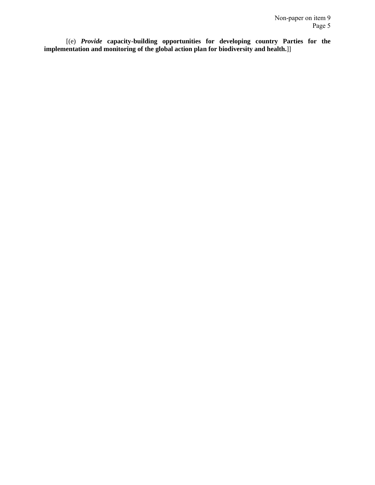[(e) *Provide* **capacity-building opportunities for developing country Parties for the implementation and monitoring of the global action plan for biodiversity and health.**]]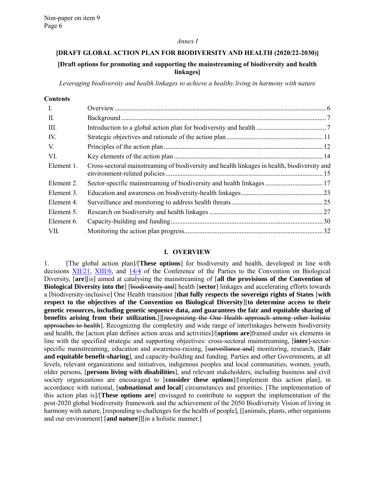#### *Annex I*

### **[DRAFT GLOBAL ACTION PLAN FOR BIODIVERSITY AND HEALTH (2020/22-2030)]**

### **[Draft options for promoting and supporting the mainstreaming of biodiversity and health linkages]**

*Leveraging biodiversity and health linkages to achieve a healthy living in harmony with nature*

| $\mathbf{I}$ . |                                                                                              |  |
|----------------|----------------------------------------------------------------------------------------------|--|
| П.             |                                                                                              |  |
| III.           |                                                                                              |  |
| IV.            |                                                                                              |  |
| V.             |                                                                                              |  |
| VI.            |                                                                                              |  |
| Element 1.     | Cross-sectoral mainstreaming of biodiversity and health linkages in health, biodiversity and |  |
| Element 2.     | Sector-specific mainstreaming of biodiversity and health linkages  17                        |  |
| Element 3.     |                                                                                              |  |
| Element 4.     |                                                                                              |  |
| Element 5.     |                                                                                              |  |
| Element 6.     |                                                                                              |  |
| VII.           |                                                                                              |  |

### **I. OVERVIEW**

<span id="page-5-0"></span>1. [The global action plan]/[**These options**] for biodiversity and health, developed in line with decisions [XII/21,](https://www.cbd.int/doc/decisions/cop-12/cop-12-dec-21-en.pdf) [XIII/6,](https://www.cbd.int/doc/decisions/cop-13/cop-13-dec-06-en.pdf) and [14/4](https://www.cbd.int/doc/decisions/cop-14/cop-14-dec-04-en.pdf) of the Conference of the Parties to the Convention on Biological Diversity, [**are**][is] aimed at catalysing the mainstreaming of [**all the provisions of the Convention of Biological Diversity into the**] [biodiversity and] health [**sector**] linkages and accelerating efforts towards a [biodiversity-inclusive] One Health transition [**that fully respects the sovereign rights of States** [**with respect to the objectives of the Convention on Biological Diversity**][**to determine access to their genetic resources, including genetic sequence data, and guarantees the fair and equitable sharing of benefits arising from their utilization.**]][recognizing the One Health approach among other holistic approaches to health]. Recognizing the complexity and wide range of interlinkages between biodiversity and health, the [action plan defines action areas and activities]/[**options are**]framed under six elements in line with the specified strategic and supporting objectives: cross-sectoral mainstreaming, [**inter**]*-*sectorspecific mainstreaming, education and awareness-raising, [surveillance and] monitoring, research, [**fair and equitable benefit-sharing**], and capacity-building and funding. Parties and other Governments, at all levels, relevant organizations and initiatives, indigenous peoples and local communities, women, youth, older persons, [**persons living with disabilities**], and relevant stakeholders, including business and civil society organizations are encouraged to [**consider these options**]/[implement this action plan], in accordance with national, [**subnational and local**] circumstances and priorities. [The implementation of this action plan is]/[**These options are**] envisaged to contribute to support the implementation of the post-2020 global biodiversity framework and the achievement of the 2050 Biodiversity Vision of living in harmony with nature, [responding to challenges for the health of people], [[animals, plants, other organisms and our environment] [**and nature**]][in a holistic manner.]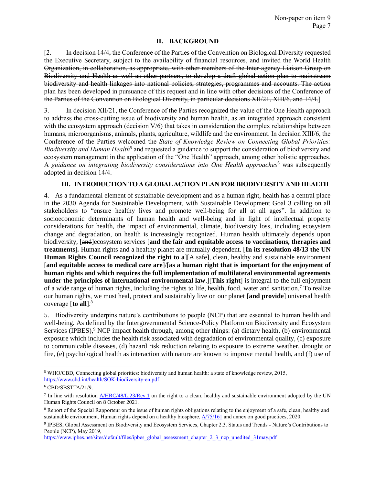### **II. BACKGROUND**

<span id="page-6-0"></span>[2. In decision 14/4, the Conference of the Parties of the Convention on Biological Diversity requested the Executive Secretary, subject to the availability of financial resources, and invited the World Health Organization, in collaboration, as appropriate, with other members of the Inter-agency Liaison Group on Biodiversity and Health as well as other partners, to develop a draft global action plan to mainstream biodiversity and health linkages into national policies, strategies, programmes and accounts. The action plan has been developed in pursuance of this request and in line with other decisions of the Conference of the Parties of the Convention on Biological Diversity, in particular decisions XII/21, XIII/6, and 14/4.]

3. In decision XII/21, the Conference of the Parties recognized the value of the One Health approach to address the cross-cutting issue of biodiversity and human health, as an integrated approach consistent with the ecosystem approach (decision  $V/6$ ) that takes in consideration the complex relationships between humans, microorganisms, animals, plants, agriculture, wildlife and the environment. In decision XIII/6, the Conference of the Parties welcomed the *State of Knowledge Review on Connecting Global Priorities:*  Biodiversity and Human Health<sup>5</sup> and requested a guidance to support the consideration of biodiversity and ecosystem management in the application of the "One Health" approach, among other holistic approaches. A *guidance on integrating biodiversity considerations into One Health approaches*<sup>6</sup> was subsequently adopted in decision 14/4.

### **III. INTRODUCTION TO A GLOBAL ACTION PLAN FOR BIODIVERSITY AND HEALTH**

<span id="page-6-1"></span>4. As a fundamental element of sustainable development and as a human right, health has a central place in the 2030 Agenda for Sustainable Development, with Sustainable Development Goal 3 calling on all stakeholders to "ensure healthy lives and promote well-being for all at all ages". In addition to socioeconomic determinants of human health and well-being and in light of intellectual property considerations for health, the impact of environmental, climate, biodiversity loss, including ecosystem change and degradation, on health is increasingly recognized. Human health ultimately depends upon biodiversity, [and]ecosystem services [**and the fair and equitable access to vaccinations, therapies and treatments**]*.* Human rights and a healthy planet are mutually dependent. [**In its resolution 48/13 the UN Human Rights Council recognized the right to a**][A safe], clean, healthy and sustainable environment [**and equitable access to medical care are**]/[**as a human right that is important for the enjoyment of human rights and which requires the full implementation of multilateral environmental agreements under the principles of international environmental law**.][**This right**] is integral to the full enjoyment of a wide range of human rights, including the rights to life, health, food, water and sanitation.<sup>7</sup> To realize our human rights, we must heal, protect and sustainably live on our planet [**and provide**] universal health coverage [**to all**]. 8

5. Biodiversity underpins nature's contributions to people (NCP) that are essential to human health and well-being. As defined by the Intergovernmental Science-Policy Platform on Biodiversity and Ecosystem Services (IPBES), $9$  NCP impact health through, among other things: (a) dietary health, (b) environmental exposure which includes the health risk associated with degradation of environmental quality, (c) exposure to communicable diseases, (d) hazard risk reduction relating to exposure to extreme weather, drought or fire, (e) psychological health as interaction with nature are known to improve mental health, and (f) use of

l <sup>5</sup> WHO/CBD, Connecting global priorities: biodiversity and human health: a state of knowledge review, 2015, <https://www.cbd.int/health/SOK-biodiversity-en.pdf>

 $6$  CBD/SBSTTA/21/9.

 $^7$  In line with resolution  $\triangle$ *HRC*/48/L.23/Rev.1 on the right to a clean, healthy and sustainable environment adopted by the UN Human Rights Council on 8 October 2021.

<sup>&</sup>lt;sup>8</sup> Report of the Special Rapporteur on the issue of human rights obligations relating to the enjoyment of a safe, clean, healthy and sustainable environment, Human rights depend on a healthy biosphere,  $\frac{A}{75/161}$  and annex on good practices, 2020.

<sup>9</sup> IPBES, Global Assessment on Biodiversity and Ecosystem Services, Chapter 2.3. Status and Trends - Nature's Contributions to People (NCP), May 2019,

[https://www.ipbes.net/sites/default/files/ipbes\\_global\\_assessment\\_chapter\\_2\\_3\\_ncp\\_unedited\\_31may.pdf](https://www.ipbes.net/sites/default/files/ipbes_global_assessment_chapter_2_3_ncp_unedited_31may.pdf)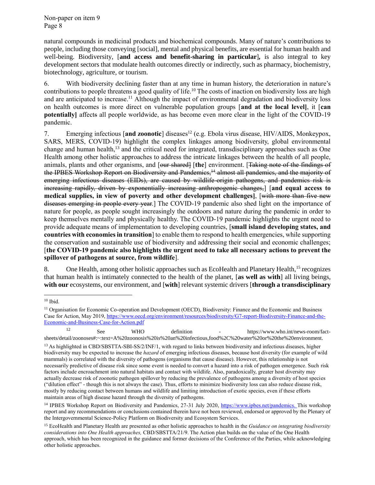natural compounds in medicinal products and biochemical compounds. Many of nature's contributions to people, including those conveying [social], mental and physical benefits, are essential for human health and well-being. Biodiversity, [**and access and benefit-sharing in particular**]*,* is also integral to key development sectors that modulate health outcomes directly or indirectly, such as pharmacy, biochemistry, biotechnology, agriculture, or tourism.

6. With biodiversity declining faster than at any time in human history, the deterioration in nature's contributions to people threatens a good quality of life.<sup>10</sup> The costs of inaction on biodiversity loss are high and are anticipated to increase.<sup>11</sup> Although the impact of environmental degradation and biodiversity loss on health outcomes is more direct on vulnerable population groups [**and at the local level]**, it [**can potentially]** affects all people worldwide, as has become even more clear in the light of the COVID-19 pandemic.

7. Emerging infectious [and zoonotic] diseases<sup>12</sup> (e.g. Ebola virus disease, HIV/AIDS, Monkeypox, SARS, MERS, COVID-19) highlight the complex linkages among biodiversity, global environmental change and human health,<sup>13</sup> and the critical need for integrated, transdisciplinary approaches such as One Health among other holistic approaches to address the intricate linkages between the health of all people, animals, plants and other organisms, and [our shared] [**the**] environment. [Taking note of the findings of the IPBES Workshop Report on Biodiversity and Pandemics,<sup>14</sup> almost all pandemics, and the majority of emerging infectious diseases (EIDs), are caused by wildlife-origin pathogens, and pandemics risk is increasing rapidly, driven by exponentially increasing anthropogenic changes,] [**and equal access to medical supplies, in view of poverty and other development challenges]**, [with more than five new diseases emerging in people every year.] The COVID-19 pandemic also shed light on the importance of nature for people, as people sought increasingly the outdoors and nature during the pandemic in order to keep themselves mentally and physically healthy. The COVID-19 pandemic highlights the urgent need to provide adequate means of implementation to developing countries, [**small island developing states, and countries with economies in transition**] to enable them to respond to health emergencies, while supporting the conservation and sustainable use of biodiversity and addressing their social and economic challenges; [**the COVID-19 pandemic also highlights the urgent need to take all necessary actions to prevent the spillover of pathogens at source, from wildlife**].

8. One Health, among other holistic approaches such as EcoHealth and Planetary Health,<sup>15</sup> recognizes that human health is intimately connected to the health of the planet, [**as well as with**] all living beings, **with our** ecosystems, our environment, and [**with**] relevant systemic drivers [**through a transdisciplinary** 

<sup>12</sup> See WHO definition - https://www.who.int/news-room/factsheets/detail/zoonoses#:~:text=A%20zoonosis%20is%20an%20infectious,food%2C%20water%20or%20the%20environment.

l  $10$  Ibid.

<sup>11</sup> Organisation for Economic Co-operation and Development (OECD), Biodiversity: Finance and the Economic and Business Case for Action, May 2019, [https://www.oecd.org/environment/resources/biodiversity/G7-report-Biodiversity-Finance-and-the-](https://www.oecd.org/environment/resources/biodiversity/G7-report-Biodiversity-Finance-and-the-Economic-and-Business-Case-for-Action.pdf)[Economic-and-Business-Case-for-Action.pdf](https://www.oecd.org/environment/resources/biodiversity/G7-report-Biodiversity-Finance-and-the-Economic-and-Business-Case-for-Action.pdf)

<sup>&</sup>lt;sup>13</sup> As highlighted in CBD/SBSTTA-SBI-SS/2/INF/1, with regard to links between biodiversity and infectious diseases, higher biodiversity may be expected to increase the *hazard* of emerging infectious diseases, because host diversity (for example of wild mammals) is correlated with the diversity of pathogens (organisms that cause disease). However, this relationship is not necessarily predictive of disease risk since some event is needed to convert a hazard into a risk of pathogen emergence. Such risk factors include encroachment into natural habitats and contact with wildlife. Also, paradoxically, greater host diversity may actually decrease risk of zoonotic pathogen spillover by reducing the prevalence of pathogens among a diversity of host species ("dilution effect" - though this is not always the case). Thus, efforts to minimize biodiversity loss can also reduce disease risk, mostly by reducing contact between humans and wildlife and limiting introduction of exotic species, even if these efforts maintain areas of high disease hazard through the diversity of pathogens.

<sup>&</sup>lt;sup>14</sup> IPBES Workshop Report on Biodiversity and Pandemics, 27-31 July 2020, [https://www.ipbes.net/pandemics.](https://www.ipbes.net/pandemics) This workshop report and any recommendations or conclusions contained therein have not been reviewed, endorsed or approved by the Plenary of the Intergovernmental Science-Policy Platform on Biodiversity and Ecosystem Services.

<sup>15</sup> EcoHealth and Planetary Health are presented as other holistic approaches to health in the *Guidance on integrating biodiversity considerations into One Health approaches,* CBD/SBSTTA/21/9. The Action plan builds on the value of the One Health approach, which has been recognized in the guidance and former decisions of the Conference of the Parties, while acknowledging other holistic approaches.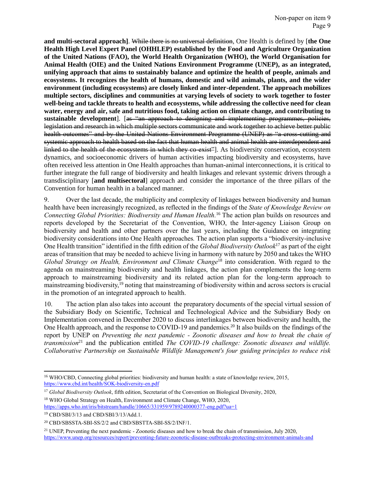**and multi-sectoral approach]**. While there is no universal definition, One Health is defined by [**the One Health High Level Expert Panel (OHHLEP) established by the Food and Agriculture Organization of the United Nations (FAO), the World Health Organization (WHO), the World Organisation for Animal Health (OIE) and the United Nations Environment Programme (UNEP), as an integrated, unifying approach that aims to sustainably balance and optimize the health of people, animals and ecosystems. It recognizes the health of humans, domestic and wild animals, plants, and the wider environment (including ecosystems) are closely linked and inter-dependent. The approach mobilizes multiple sectors, disciplines and communities at varying levels of society to work together to foster well-being and tackle threats to health and ecosystems, while addressing the collective need for clean water, energy and air, safe and nutritious food, taking action on climate change, and contributing to sustainable development**]. [as "an approach to designing and implementing programmes, policies, legislation and research in which multiple sectors communicate and work together to achieve better public health outcomes" and by the United Nations Environment Programme (UNEP) as "a cross-cutting and systemic approach to health based on the fact that human health and animal health are interdependent and linked to the health of the ecosystems in which they co-exist<sup>2</sup>. As biodiversity conservation, ecosystem dynamics, and socioeconomic drivers of human activities impacting biodiversity and ecosystems, have often received less attention in One Health approaches than human-animal interconnections, it is critical to further integrate the full range of biodiversity and health linkages and relevant systemic drivers through a transdisciplinary [**and multisectoral**] approach and consider the importance of the three pillars of the Convention for human health in a balanced manner.

9. Over the last decade, the multiplicity and complexity of linkages between biodiversity and human health have been increasingly recognized, as reflected in the findings of the *State of Knowledge Review on Connecting Global Priorities: Biodiversity and Human Health.* <sup>16</sup> The action plan builds on resources and reports developed by the Secretariat of the Convention, WHO, the Inter-agency Liaison Group on biodiversity and health and other partners over the last years, including the Guidance on integrating biodiversity considerations into One Health approaches*.* The action plan supports a "biodiversity-inclusive One Health transition" identified in the fifth edition of the *Global Biodiversity Outlook*<sup>17</sup> as part of the eight areas of transition that may be needed to achieve living in harmony with nature by 2050 and takes the WHO *Global Strategy on Health, Environment and Climate Change<sup>18</sup> into consideration. With regard to the* agenda on mainstreaming biodiversity and health linkages, the action plan complements the long-term approach to mainstreaming biodiversity and its related action plan for the long-term approach to mainstreaming biodiversity,<sup>19</sup> noting that mainstreaming of biodiversity within and across sectors is crucial in the promotion of an integrated approach to health.

10. The action plan also takes into account the preparatory documents of the special virtual session of the Subsidiary Body on Scientific, Technical and Technological Advice and the Subsidiary Body on Implementation convened in December 2020 to discuss interlinkages between biodiversity and health, the One Health approach, and the response to COVID-19 and pandemics.<sup>20</sup> It also builds on the findings of the report by UNEP on *Preventing the next pandemic - Zoonotic diseases and how to break the chain of transmission*<sup>21</sup> and the publication entitled *The COVID-19 challenge: Zoonotic diseases and wildlife. Collaborative Partnership on Sustainable Wildlife Management's four guiding principles to reduce risk* 

 $\overline{a}$ 

<sup>16</sup> WHO/CBD, Connecting global priorities: biodiversity and human health: a state of knowledge review, 2015, <https://www.cbd.int/health/SOK-biodiversity-en.pdf>

<sup>17</sup> *Global Biodiversity Outlook*, fifth edition, Secretariat of the Convention on Biological Diversity, 2020,

<sup>18</sup> WHO Global Strategy on Health, Environment and Climate Change, WHO, 2020, <https://apps.who.int/iris/bitstream/handle/10665/331959/9789240000377-eng.pdf?ua=1>

<sup>19</sup> CBD/SBI/3/13 and CBD/SBI/3/13/Add.1.

<sup>20</sup> [CBD/SBSSTA-SBI-SS/2/2](https://www.cbd.int/doc/c/44f2/38b3/cf38b99f5527f600c19e3c09/sbstta-sbi-ss-02-02-en.pdf) and [CBD/SBSTTA-SBI-SS/2/INF/1.](https://www.cbd.int/doc/c/2abd/08b3/123a81e9d2b3b9d6eb0dd9b8/sbstta-sbi-ss-02-inf-01-en.pdf)

<sup>&</sup>lt;sup>21</sup> UNEP, Preventing the next pandemic - Zoonotic diseases and how to break the chain of transmission, July 2020, <https://www.unep.org/resources/report/preventing-future-zoonotic-disease-outbreaks-protecting-environment-animals-and>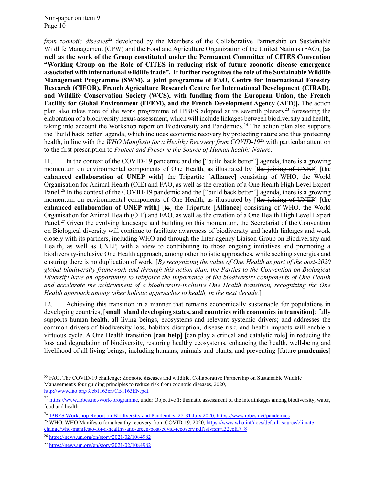*from zoonotic diseases*<sup>22</sup> developed by the Members of the Collaborative Partnership on Sustainable Wildlife Management (CPW) and the Food and Agriculture Organization of the United Nations (FAO), [**as well as the work of the Group constituted under the Permanent Committee of CITES Convention "Working Group on the Role of CITES in reducing risk of future zoonotic disease emergence associated with international wildlife trade". It further recognizes the role of the Sustainable Wildlife Management Programme (SWM), a joint programme of FAO, Centre for International Forestry Research (CIFOR), French Agriculture Research Centre for International Development (CIRAD), and Wildlife Conservation Society (WCS), with funding from the European Union, the French Facility for Global Environment (FFEM), and the French Development Agency (AFD)].** The action plan also takes note of the work programme of IPBES adopted at its seventh plenary<sup>23</sup> foreseeing the elaboration of a biodiversity nexus assessment, which will include linkages between biodiversity and health, taking into account the Workshop report on Biodiversity and Pandemics.<sup>24</sup> The action plan also supports the 'build back better' agenda, which includes economic recovery by protecting nature and thus protecting health, in line with the *WHO Manifesto for a Healthy Recovery from COVID-19*<sup>25</sup> with particular attention to the first prescription to *Protect and Preserve the Source of Human health: Nature*.

11. In the context of the COVID-19 pandemic and the ["build back better" agenda, there is a growing momentum on environmental components of One Health, as illustrated by [the joining of UNEP] [**the enhanced collaboration of UNEP with**] the Tripartite [**Alliance**] consisting of WHO, the World Organisation for Animal Health (OIE) and [FAO,](http://www.fao.org/home/en/) as well as the creation of a One Health High Level Expert Panel.<sup>26</sup> In the context of the COVID-19 pandemic and the ["build back better"] agenda, there is a growing momentum on environmental components of One Health, as illustrated by [the joining of UNEP] [**the enhanced collaboration of UNEP with]** [to] the Tripartite [**Alliance**] consisting of WHO, the World Organisation for Animal Health (OIE) and [FAO,](http://www.fao.org/home/en/) as well as the creation of a One Health High Level Expert Panel.<sup>27</sup> Given the evolving landscape and building on this momentum, the Secretariat of the Convention on Biological diversity will continue to facilitate awareness of biodiversity and health linkages and work closely with its partners, including WHO and through the Inter-agency Liaison Group on Biodiversity and Health, as well as UNEP, with a view to contributing to those ongoing initiatives and promoting a biodiversity-inclusive One Health approach, among other holistic approaches, while seeking synergies and ensuring there is no duplication of work. [*By recognizing the value of One Health as part of the post-2020 global biodiversity framework and through this action plan, the Parties to the Convention on Biological Diversity have an opportunity to reinforce the importance of the biodiversity components of One Health and accelerate the achievement of a biodiversity-inclusive One Health transition, recognizing the One Health approach among other holistic approaches to health, in the next decade.*]

12. Achieving this transition in a manner that remains economically sustainable for populations in developing countries, [**small island developing states, and countries with economies in transition]**; fully supports human health, all living beings, ecosystems and relevant systemic drivers; and addresses the common drivers of biodiversity loss, habitats disruption, disease risk, and health impacts will enable a virtuous cycle. A One Health transition [can help] [ean play a critical and catalytic role] in reducing the loss and degradation of biodiversity, restoring healthy ecosystems, enhancing the health, well-being and livelihood of all living beings, including humans, animals and plants, and preventing [future **pandemics**]

l

 $22$  FAO, The COVID-19 challenge: Zoonotic diseases and wildlife. Collaborative Partnership on Sustainable Wildlife Management's four guiding principles to reduce risk from zoonotic diseases, 2020, <http://www.fao.org/3/cb1163en/CB1163EN.pdf>

<sup>&</sup>lt;sup>23</sup> [https://www.ipbes.net/work-programme,](https://www.ipbes.net/work-programme) under Objective 1: thematic assessment of the interlinkages among biodiversity, water, food and health

<sup>&</sup>lt;sup>24</sup> IPBES Workshop Report on Biodiversity and Pandemics, 27-31 July 2020[, https://www.ipbes.net/pandemics](https://www.ipbes.net/pandemics)

<sup>25</sup> WHO, WHO Manifesto for a healthy recovery from COVID-19, 2020[, https://www.who.int/docs/default-source/climate](https://www.who.int/docs/default-source/climate-change/who-manifesto-for-a-healthy-and-green-post-covid-recovery.pdf?sfvrsn=f32ecfa7_8)[change/who-manifesto-for-a-healthy-and-green-post-covid-recovery.pdf?sfvrsn=f32ecfa7\\_8](https://www.who.int/docs/default-source/climate-change/who-manifesto-for-a-healthy-and-green-post-covid-recovery.pdf?sfvrsn=f32ecfa7_8)

<sup>26</sup> <https://news.un.org/en/story/2021/02/1084982>

<sup>27</sup> <https://news.un.org/en/story/2021/02/1084982>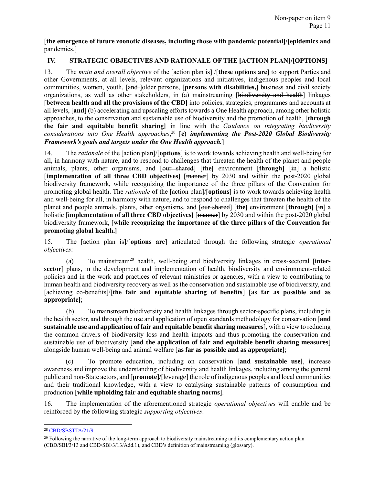[**the emergence of future zoonotic diseases, including those with pandemic potential]/[epidemics and** pandemics.]

# <span id="page-10-0"></span>**IV. STRATEGIC OBJECTIVES AND RATIONALE OF THE [ACTION PLAN]/[OPTIONS]**

13. The *main and overall objective* of the [action plan is] /[**these options are**] to support Parties and other Governments, at all levels, relevant organizations and initiatives, indigenous peoples and local communities, women, youth, [and ]older persons, [**persons with disabilities**,] business and civil society organizations, as well as other stakeholders, in (a) mainstreaming [biodiversity and health] linkages [**between health and all the provisions of the CBD]** into policies, strategies, programmes and accounts at all levels, [**and**] (b) accelerating and upscaling efforts towards a One Health approach, among other holistic approaches, to the conservation and sustainable use of biodiversity and the promotion of health, [**through the fair and equitable benefit sharing]** in line with the *Guidance on integrating biodiversity considerations into One Health approaches*, <sup>28</sup> [**c)** *implementing the Post-2020 Global Biodiversity Framework's goals and targets under the One Health approach.***]**

14. The *rationale* of the [action plan]/[**options**] is to work towards achieving health and well-being for all, in harmony with nature, and to respond to challenges that threaten the health of the planet and people animals, plants, other organisms, and [our shared] [the] environment [through] [in] a holistic [**implementation of all three CBD objectives]** [manner] by 2030 and within the post-2020 global biodiversity framework, while recognizing the importance of the three pillars of the Convention for promoting global health. The *rationale* of the [action plan]/[**options**] is to work towards achieving health and well-being for all, in harmony with nature, and to respond to challenges that threaten the health of the planet and people animals, plants, other organisms, and [our shared] [**the]** environment [**through]** [in] a holistic [**implementation of all three CBD objectives]** [manner] by 2030 and within the post-2020 global biodiversity framework, [**while recognizing the importance of the three pillars of the Convention for promoting global health.]**

15. The [action plan is]/[**options are**] articulated through the following strategic *operational objectives*:

(a) To mainstream<sup>29</sup> health, well-being and biodiversity linkages in cross-sectoral [**intersector**] plans, in the development and implementation of health, biodiversity and environment-related policies and in the work and practices of relevant ministries or agencies, with a view to contributing to human health and biodiversity recovery as well as the conservation and sustainable use of biodiversity, and [achieving co-benefits]/[**the fair and equitable sharing of benefits**] [**as far as possible and as appropriate]**;

(b) To mainstream biodiversity and health linkages through sector-specific plans, including in the health sector, and through the use and application of open standards methodology for conservation [**and sustainable use and application of fair and equitable benefit sharing measures**], with a view to reducing the common drivers of biodiversity loss and health impacts and thus promoting the conservation and sustainable use of biodiversity [**and the application of fair and equitable benefit sharing measures**] alongside human well-being and animal welfare [**as far as possible and as appropriate]**;

(c) To promote education, including on conservation [**and sustainable use]**, increase awareness and improve the understanding of biodiversity and health linkages, including among the general public and non-State actors, and [**promote]/**[leverage] the role of indigenous peoples and local communities and their traditional knowledge, with a view to catalysing sustainable patterns of consumption and production [**while upholding fair and equitable sharing norms**].

16. The implementation of the aforementioned strategic *operational objectives* will enable and be reinforced by the following strategic *supporting objectives*:

 $\overline{a}$ 

<sup>28</sup> [CBD/SBSTTA/21/9.](https://www.cbd.int/doc/c/8e34/8c61/a535d23833e68906c8c7551a/sbstta-21-09-en.pdf)

 $^{29}$  Following the narrative of the long-term approach to biodiversity mainstreaming and its complementary action plan (CBD/SBI/3/13 and CBD/SBI/3/13/Add.1), and CBD's definition of mainstreaming (glossary).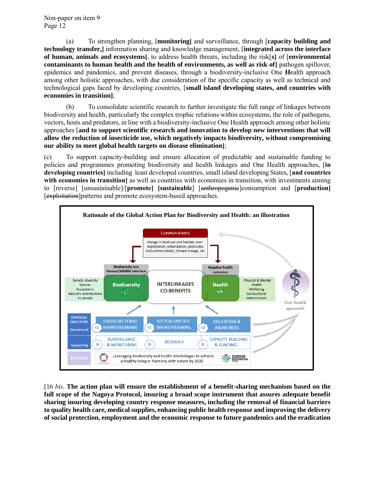(a) To strengthen planning, [**monitoring]** and surveillance, through [**capacity building and technology transfer,]** information sharing and knowledge management, [**integrated across the interface of human, animals and ecosystems]**, to address health threats, including the risk[**s]** of [**environmental contaminants to human health and the health of environments, as well as risk of]** pathogen spillover, epidemics and pandemics, and prevent diseases, through a biodiversity-inclusive One **H**ealth approach among other holistic approaches, with due consideration of the specific capacity as well as technical and technological gaps faced by developing countries, [**small island developing states, and countries with economies in transition]**;

(b) To consolidate scientific research to further investigate the full range of linkages between biodiversity and health, particularly the complex trophic relations within ecosystems, the role of pathogens, vectors, hosts and predators, in line with a biodiversity-inclusive One Health approach among other holistic approaches [**and to support scientific research and innovation to develop new interventions that will allow the reduction of insecticide use, which negatively impacts biodiversity, without compromising our ability to meet global health targets on disease elimination]**;

(c) To support capacity-building and ensure allocation of predictable and sustainable funding to policies and programmes promoting biodiversity and health linkages and One Health approaches, [**in developing countries]** including least developed countries, small island developing States, [**and countries with economies in transition** as well as countries with economies in transition, with investments aiming to [reverse] [unsustainable]/[**promote] [sustainable**] [anthropogenic]consumption and [**production]**  [exploitation]patterns and promote ecosystem-based approaches.



<span id="page-11-0"></span>[16 *bis*. **The action plan will ensure the establishment of a benefit-sharing mechanism based on the full scope of the Nagoya Protocol, insuring a broad scope instrument that assures adequate benefit sharing insuring developing country response measures, including the removal of financial barriers to quality health care, medical supplies, enhancing public health response and improving the delivery of social protection, employment and the economic response to future pandemics and the eradication**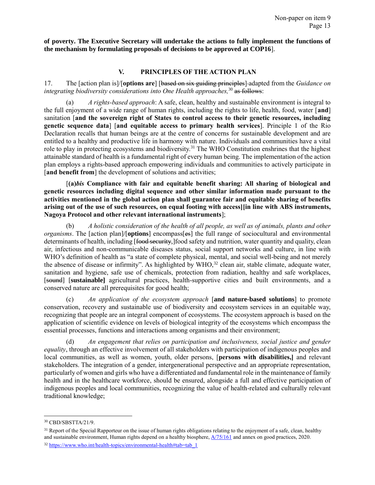**of poverty. The Executive Secretary will undertake the actions to fully implement the functions of the mechanism by formulating proposals of decisions to be approved at COP16**].

# **V. PRINCIPLES OF THE ACTION PLAN**

17. The [action plan is]/[**options are**] [based on six guiding principles] adapted from the *Guidance on integrating biodiversity considerations into One Health approaches,*<sup>30</sup> as follows:

(a) *A rights-based approach*: A safe, clean, healthy and sustainable environment is integral to the full enjoyment of a wide range of human rights, including the rights to life, health, food, water [**and**] sanitation [**and the sovereign right of States to control access to their genetic resources, including genetic sequence data**] [**and equitable access to primary health services**]. Principle 1 of the Rio Declaration recalls that human beings are at the centre of concerns for sustainable development and are entitled to a healthy and productive life in harmony with nature. Individuals and communities have a vital role to play in protecting ecosystems and biodiversity.<sup>31</sup> The WHO Constitution enshrines that the highest attainable standard of health is a fundamental right of every human being. The implementation of the action plan employs a rights-based approach empowering individuals and communities to actively participate in [and benefit from] the development of solutions and activities;

[**(a)***bis* **Compliance with fair and equitable benefit sharing: All sharing of biological and genetic resources including digital sequence and other similar information made pursuant to the activities mentioned in the global action plan shall guarantee fair and equitable sharing of benefits arising out of the use of such resources, on equal footing with access][in line with ABS instruments, Nagoya Protocol and other relevant international instruments**];

(b) *A holistic consideration of the health of all people, as well as of animals, plants and other organisms*. The [action plan]/[**options**] encompass[es] the full range of sociocultural and environmental determinants of health, including [food security,]food safety and nutrition, water quantity and quality, clean air, infectious and non-communicable diseases status, social support networks and culture, in line with WHO's definition of health as "a state of complete physical, mental, and social well-being and not merely the absence of disease or infirmity". As highlighted by WHO,<sup>32</sup> clean air, stable climate, adequate water, sanitation and hygiene, safe use of chemicals, protection from radiation, healthy and safe workplaces, [sound] [**sustainable]** agricultural practices, health-supportive cities and built environments, and a conserved nature are all prerequisites for good health;

(c) *An application of the ecosystem approach* [**and nature-based solutions**] to promote conservation, recovery and sustainable use of biodiversity and ecosystem services in an equitable way, recognizing that people are an integral component of ecosystems. The ecosystem approach is based on the application of scientific evidence on levels of biological integrity of the ecosystems which encompass the essential processes, functions and interactions among organisms and their environment;

(d) *An engagement that relies on participation and inclusiveness, social justice and gender equality*, through an effective involvement of all stakeholders with participation of indigenous peoples and local communities, as well as women, youth, older persons, [**persons with disabilities,]** and relevant stakeholders. The integration of a gender, intergenerational perspective and an appropriate representation, particularly of women and girls who have a differentiated and fundamental role in the maintenance of family health and in the healthcare workforce, should be ensured, alongside a full and effective participation of indigenous peoples and local communities, recognizing the value of health-related and culturally relevant traditional knowledge;

l

<sup>30</sup> CBD/SBSTTA/21/9.

<sup>&</sup>lt;sup>31</sup> Report of the Special Rapporteur on the issue of human rights obligations relating to the enjoyment of a safe, clean, healthy and sustainable environment, Human rights depend on a healthy biosphere,  $\frac{A}{75/161}$  and annex on good practices, 2020.

 $32 \text{ https://www.who.int/health-topics/environmental-health+tab=tab}$  1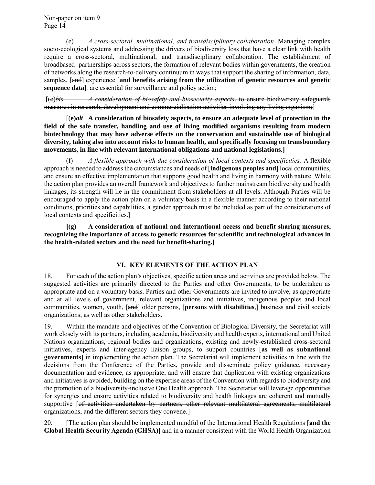(e) *A cross-sectoral, multinational, and transdisciplinary collaboration*. Managing complex socio-ecological systems and addressing the drivers of biodiversity loss that have a clear link with health require a cross-sectoral, multinational, and transdisciplinary collaboration. The establishment of broadbased- partnerships across sectors, the formation of relevant bodies within governments, the creation of networks along the research-to-delivery continuum in ways that support the sharing of information, data, samples, [and] experience [**and benefits arising from the utilization of genetic resources and genetic sequence data]***,* are essential for surveillance and policy action;

[(e)*bis A consideration of biosafety and biosecurity aspects*, to ensure biodiversity safeguards measures in research, development and commercialization activities involving any living organism;]

[(**e)***alt* **A consideration of biosafety aspects, to ensure an adequate level of protection in the field of the safe transfer, handling and use of living modified organisms resulting from modern biotechnology that may have adverse effects on the conservation and sustainable use of biological diversity, taking also into account risks to human health, and specifically focusing on transboundary movements, in line with relevant international obligations and national legislations.]** 

(f) *A flexible approach with due consideration of local contexts and specificities.* A flexible approach is needed to address the circumstances and needs of [**indigenous peoples and]** local communities, and ensure an effective implementation that supports good health and living in harmony with nature. While the action plan provides an overall framework and objectives to further mainstream biodiversity and health linkages, its strength will lie in the commitment from stakeholders at all levels. Although Parties will be encouraged to apply the action plan on a voluntary basis in a flexible manner according to their national conditions, priorities and capabilities, a gender approach must be included as part of the considerations of local contexts and specificities.]

**[(g) A consideration of national and international access and benefit sharing measures, recognizing the importance of access to genetic resources for scientific and technological advances in the health-related sectors and the need for benefit-sharing.]**

# **VI. KEY ELEMENTS OF THE ACTION PLAN**

<span id="page-13-0"></span>18. For each of the action plan's objectives, specific action areas and activities are provided below. The suggested activities are primarily directed to the Parties and other Governments, to be undertaken as appropriate and on a voluntary basis. Parties and other Governments are invited to involve, as appropriate and at all levels of government, relevant organizations and initiatives, indigenous peoples and local communities, women, youth, [and] older persons, [**persons with disabilities**,] business and civil society organizations, as well as other stakeholders.

19. Within the mandate and objectives of the Convention of Biological Diversity, the Secretariat will work closely with its partners, including academia, biodiversity and health experts, international and United Nations organizations, regional bodies and organizations, existing and newly-established cross-sectoral initiatives, experts and inter-agency liaison groups, to support countries [**as well as subnational governments]** in implementing the action plan. The Secretariat will implement activities in line with the decisions from the Conference of the Parties, provide and disseminate policy guidance, necessary documentation and evidence, as appropriate, and will ensure that duplication with existing organizations and initiatives is avoided, building on the expertise areas of the Convention with regards to biodiversity and the promotion of a biodiversity-inclusive One Health approach. The Secretariat will leverage opportunities for synergies and ensure activities related to biodiversity and health linkages are coherent and mutually supportive [of activities undertaken by partners, other relevant multilateral agreements, multilateral organizations, and the different sectors they convene.]

20. [The action plan should be implemented mindful of the International Health Regulations [**and the Global Health Security Agenda (GHSA)]** and in a manner consistent with the World Health Organization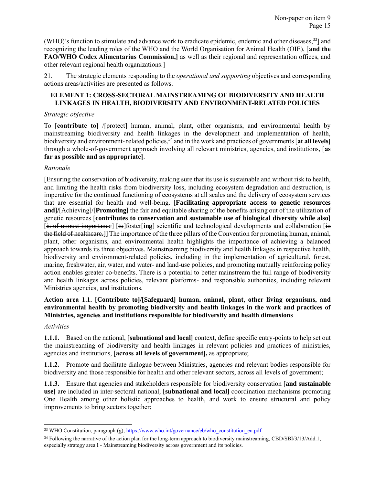(WHO)'s function to stimulate and advance work to eradicate epidemic, endemic and other diseases,<sup>33</sup>] and recognizing the leading roles of the WHO and the World Organisation for Animal Health (OIE), [**and the FAO/WHO Codex Alimentarius Commission,]** as well as their regional and representation offices, and other relevant regional health organizations.]

21. The strategic elements responding to the *operational and supporting* objectives and corresponding actions areas/activities are presented as follows.

# <span id="page-14-0"></span>**ELEMENT 1: CROSS-SECTORAL MAINSTREAMING OF BIODIVERSITY AND HEALTH LINKAGES IN HEALTH, BIODIVERSITY AND ENVIRONMENT-RELATED POLICIES**

### *Strategic objective*

To [**contribute to]** /[protect] human, animal, plant, other organisms, and environmental health by mainstreaming biodiversity and health linkages in the development and implementation of health, biodiversity and environment- related policies,<sup>34</sup> and in the work and practices of governments [at all levels] through a whole-of-government approach involving all relevant ministries, agencies, and institutions, [**as far as possible and as appropriate]**.

# *Rationale*

[Ensuring the conservation of biodiversity, making sure that its use is sustainable and without risk to health, and limiting the health risks from biodiversity loss, including ecosystem degradation and destruction, is imperative for the continued functioning of ecosystems at all scales and the delivery of ecosystem services that are essential for health and well-being. [**Facilitating appropriate access to genetic resources and]/**[Achieving]/[**Promoting]** the fair and equitable sharing of the benefits arising out of the utilization of genetic resources [**contributes to conservation and sustainable use of biological diversity while also]** [is of utmost importance] [to]foster[**ing**] scientific and technological developments and collaboration [in the field of healthcare.]] The importance of the three pillars of the Convention for promoting human, animal, plant, other organisms, and environmental health highlights the importance of achieving a balanced approach towards its three objectives. Mainstreaming biodiversity and health linkages in respective health, biodiversity and environment-related policies, including in the implementation of agricultural, forest, marine, freshwater, air, water, and water- and land-use policies, and promoting mutually reinforcing policy action enables greater co-benefits. There is a potential to better mainstream the full range of biodiversity and health linkages across policies, relevant platforms- and responsible authorities, including relevant Ministries agencies, and institutions.

# **Action area 1.1. [Contribute to]/[Safeguard] human, animal, plant, other living organisms, and environmental health by promoting biodiversity and health linkages in the work and practices of Ministries, agencies and institutions responsible for biodiversity and health dimensions**

### *Activities*

 $\overline{a}$ 

**1.1.1.** Based on the national, [**subnational and local]** context, define specific entry-points to help set out the mainstreaming of biodiversity and health linkages in relevant policies and practices of ministries, agencies and institutions, [**across all levels of government],** as appropriate;

**1.1.2.** Promote and facilitate dialogue between Ministries, agencies and relevant bodies responsible for biodiversity and those responsible for health and other relevant sectors, across all levels of government;

**1.1.3.** Ensure that agencies and stakeholders responsible for biodiversity conservation [**and sustainable use]** are included in inter-sectoral national, [**subnational and local]** coordination mechanisms promoting One Health among other holistic approaches to health, and work to ensure structural and policy improvements to bring sectors together;

<sup>&</sup>lt;sup>33</sup> WHO Constitution, paragraph (g), [https://www.who.int/governance/eb/who\\_constitution\\_en.pdf](https://www.who.int/governance/eb/who_constitution_en.pdf)

<sup>&</sup>lt;sup>34</sup> Following the narrative of the action plan for the long-term approach to biodiversity mainstreaming, CBD/SBI/3/13/Add.1, especially strategy area I - Mainstreaming biodiversity across government and its policies.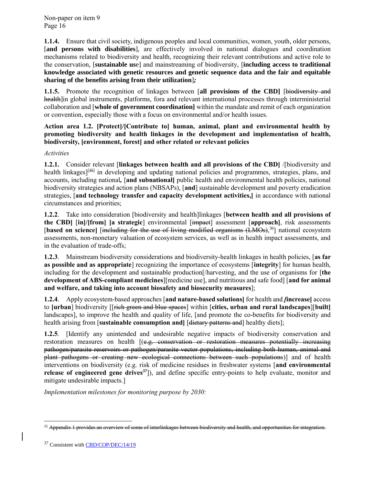**1.1.4.** Ensure that civil society, indigenous peoples and local communities, women, youth, older persons, [**and persons with disabilities**], are effectively involved in national dialogues and coordination mechanisms related to biodiversity and health, recognizing their relevant contributions and active role to the conservation, [**sustainable us**e] and mainstreaming of biodiversity, [**including access to traditional knowledge associated with genetic resources and genetic sequence data and the fair and equitable sharing of the benefits arising from their utilization**]*;*

**1.1.5.** Promote the recognition of linkages between [**all provisions of the CBD]** [biodiversity and health<sup>lin</sup> global instruments, platforms, fora and relevant international processes through interministerial collaboration and [**whole of government coordination]** within the mandate and remit of each organization or convention, especially those with a focus on environmental and/or health issues.

# **Action area 1.2. [Protect]/[Contribute to] human, animal, plant and environmental health by promoting biodiversity and health linkages in the development and implementation of health, biodiversity, [environment, forest] and other related or relevant policies**

# *Activities*

**1.2.1.** Consider relevant [**linkages between health and all provisions of the CBD]** /[biodiversity and health linkages<sup>[[35]</sup> in developing and updating national policies and programmes, strategies, plans, and accounts, including national*,* [**and subnational]** public health and environmental health policies, national biodiversity strategies and action plans (NBSAPs), [**and**] sustainable development and poverty eradication strategies, [**and technology transfer and capacity development activities,]** in accordance with national circumstances and priorities;

**1.2.2**. Take into consideration [biodiversity and health]linkages [**between health and all provisions of the CBD]** [**in]/[from] [a strategic**] environmental [impact] assessment [**approach]**, risk assessments [based on science] [including for the use of living modified organisms (LMOs),<sup>36</sup>] national ecosystem assessments, non-monetary valuation of ecosystem services, as well as in health impact assessments, and in the evaluation of trade-offs;

**1.2.3**. Mainstream biodiversity considerations and biodiversity-health linkages in health policies, [**as far as possible and as appropriate**] recognizing the importance of ecosystems [**integrity**] for human health, including for the development and sustainable production[/harvesting, and the use of organisms for [**the development of ABS-compliant medicines**][medicine use], and nutritious and safe food] [**and for animal and welfare, and taking into account biosafety and biosecurity measures**];

**1.2.4**. Apply ecosystem-based approaches [**and nature-based solutions]** for health and *[***increase]** access to **[urban**] biodiversity [[rich green and blue spaces] within [**cities, urban and rural landscapes**][**built]** landscapes], to improve the health and quality of life, [and promote the co-benefits for biodiversity and health arising from [**sustainable consumption and**] [dietary patterns and] healthy diets];

**1.2.5**. [Identify any unintended and undesirable negative impacts of biodiversity conservation and restoration measures on health  $[(e.g., conservation or restoration measures potential]$ pathogen/parasite reservoirs or pathogen/parasite vector populations, including both human, animal and plant pathogens or creating new ecological connections between such populations)] and of health interventions on biodiversity (e.g. risk of medicine residues in freshwater systems [**and environmental release of engineered gene drives***<sup>37</sup>*]), and define specific entry-points to help evaluate, monitor and mitigate undesirable impacts.]

*Implementation milestones for monitoring purpose by 2030:*

 $\overline{\phantom{a}}$ 

<sup>&</sup>lt;sup>35</sup> Appendix 1 provides an overview of some of interlinkages between biodiversity and health, and opportunities for integration.

<sup>&</sup>lt;sup>37</sup> Consistent with [CBD/COP/DEC/14/19](https://www.cbd.int/doc/decisions/cop-14/cop-14-dec-19-en.pdf)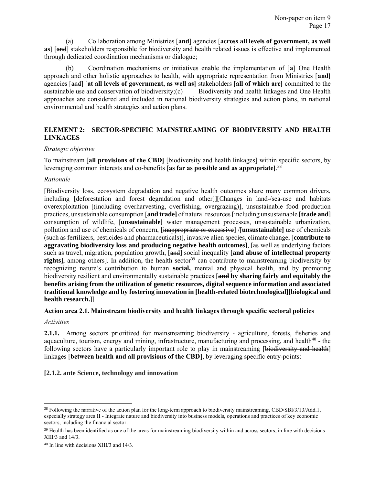(a) Collaboration among Ministries [**and**] agencies [**across all levels of government, as well as**] [and] stakeholders responsible for biodiversity and health related issues is effective and implemented through dedicated coordination mechanisms or dialogue;

(b) Coordination mechanisms or initiatives enable the implementation of [**a**] One Health approach and other holistic approaches to health, with appropriate representation from Ministries [**and]** agencies [and] [**at all levels of government, as well as]** stakeholders [**all of which are]** committed to the sustainable use and conservation of biodiversity; (c) Biodiversity and health linkages and One Health approaches are considered and included in national biodiversity strategies and action plans, in national environmental and health strategies and action plans.

# <span id="page-16-0"></span>**ELEMENT 2: SECTOR-SPECIFIC MAINSTREAMING OF BIODIVERSITY AND HEALTH LINKAGES**

#### *Strategic objective*

To mainstream [**all provisions of the CBD]** [biodiversity and health linkages] within specific sectors, by leveraging common interests and co-benefits [**as far as possible and as appropriate]**. 38

#### *Rationale*

[Biodiversity loss, ecosystem degradation and negative health outcomes share many common drivers, including [deforestation and forest degradation and other]][Changes in land-/sea-use and habitats overexploitation [(including overharvesting, overfishing, overgrazing)], unsustainable food production practices, unsustainable consumption [**and trade]** of natural resources [including unsustainable [**trade and**] consumption of wildlife, [**unsustainable]** water management processes, unsustainable urbanization, pollution and use of chemicals of concern, [inappropriate or excessive] /[**unsustainable]** use of chemicals (such as fertilizers, pesticides and pharmaceuticals)], invasive alien species, climate change, [**contribute to aggravating biodiversity loss and producing negative health outcomes]**, [as well as underlying factors such as travel, migration, population growth, [and] social inequality [**and abuse of intellectual property rights**], among others]. In addition, the health sector<sup>39</sup> can contribute to mainstreaming biodiversity by recognizing nature's contribution to human **social,** mental and physical health, and by promoting biodiversity resilient and environmentally sustainable practices [**and by sharing fairly and equitably the benefits arising from the utilization of genetic resources, digital sequence information and associated traditional knowledge and by fostering innovation in [health-related biotechnological][biological and health research.**]]

### **Action area 2.1. Mainstream biodiversity and health linkages through specific sectoral policies**

#### *Activities*

l

**2.1.1.** Among sectors prioritized for mainstreaming biodiversity - agriculture, forests, fisheries and aquaculture, tourism, energy and mining, infrastructure, manufacturing and processing, and health<sup>40</sup> - the following sectors have a particularly important role to play in mainstreaming [biodiversity and health] linkages [**between health and all provisions of the CBD**], by leveraging specific entry-points:

### **[2.1.2. ante Science, technology and innovation**

<sup>&</sup>lt;sup>38</sup> Following the narrative of the action plan for the long-term approach to biodiversity mainstreaming, CBD/SBI/3/13/Add.1, especially strategy area II - Integrate nature and biodiversity into business models, operations and practices of key economic sectors, including the financial sector.

<sup>&</sup>lt;sup>39</sup> Health has been identified as one of the areas for mainstreaming biodiversity within and across sectors, in line with decisions XIII/3 and 14/3.

<sup>40</sup> In line with decisions XIII/3 and 14/3.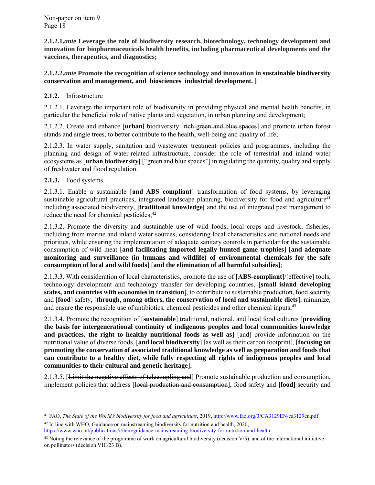**2.1.2.1.***ante* **Leverage the role of biodiversity research, biotechnology, technology development and innovation for biopharmaceuticals health benefits, including pharmaceutical developments and the vaccines, therapeutics, and diagnostics;**

# **2.1.2.2.***ante* **Promote the recognition of science technology and innovation in sustainable biodiversity conservation and management, and biosciences industrial development. ]**

# **2.1.2.** Infrastructure

2.1.2.1. Leverage the important role of biodiversity in providing physical and mental health benefits, in particular the beneficial role of native plants and vegetation, in urban planning and development;

2.1.2.2. Create and enhance [**urban]** biodiversity [rich green and blue spaces] and promote urban forest stands and single trees, to better contribute to the health, well-being and quality of life;

2.1.2.3. In water supply, sanitation and wastewater treatment policies and programmes, including the planning and design of water-related infrastructure, consider the role of terrestrial and inland water ecosystems as [**urban biodiversity]** ["green and blue spaces"] in regulating the quantity, quality and supply of freshwater and flood regulation.

# **2.1.3.** Food systems

 $\overline{a}$ 

2.1.3.1. Enable a sustainable [**and ABS compliant**] transformation of food systems, by leveraging sustainable agricultural practices, integrated landscape planning, biodiversity for food and agriculture<sup>41</sup> including associated biodiversity, **[traditional knowledge]** and the use of integrated pest management to reduce the need for chemical pesticides;<sup>42</sup>

2.1.3.2. Promote the diversity and sustainable use of wild foods, local crops and livestock, fisheries, including from marine and inland water sources, considering local characteristics and national needs and priorities, while ensuring the implementation of adequate sanitary controls in particular for the sustainable consumption of wild meat [**and facilitating imported legally hunted game trophies**] [**and adequate monitoring and surveillance (in humans and wildlife) of environmental chemicals for the safe consumption of local and wild foods**] [**and the elimination of all harmful subsidies**];

2.1.3.3. With consideration of local characteristics, promote the use of [**ABS-compliant**]/[effective] tools, technology development and technology transfer for developing countries, [**small island developing states, and countries with economies in transition**], to contribute to sustainable production, food security and [**food**] safety, [**through, among others, the conservation of local and sustainable diets**], minimize, and ensure the responsible use of antibiotics, chemical pesticides and other chemical inputs;<sup>43</sup>

2.1.3.4. Promote the recognition of [**sustainable**] traditional, national, and local food cultures [**providing the basis for intergenerational continuity of indigenous peoples and local communities knowledge and practices, the right to healthy nutritional foods as well as** [and] provide information on the nutritional value of diverse foods, [**and local biodiversity**] [as well as their carbon footprint], [**focusing on promoting the conservation of associated traditional knowledge as well as preparation and foods that can contribute to a healthy diet, while fully respecting all rights of indigenous peoples and local communities to their cultural and genetic heritage**];

2.1.3.5. [Limit the negative effects of telecoupling and] Promote sustainable production and consumption, implement policies that address [local production and consumption], food safety and **[food]** security and

<sup>&</sup>lt;sup>41</sup> FAO, *The State of the World's biodiversity for food and agriculture*, 2019[, http://www.fao.org/3/CA3129EN/ca3129en.pdf](http://www.fao.org/3/CA3129EN/ca3129en.pdf) <sup>42</sup> In line with WHO, Guidance on mainstreaming biodiversity for nutrition and health, 2020,

<https://www.who.int/publications/i/item/guidance-mainstreaming-biodiversity-for-nutrition-and-health>

 $43$  Noting the relevance of the programme of work on agricultural biodiversity (decision V/5), and of the international initiative on pollinators (decision VIII/23 B).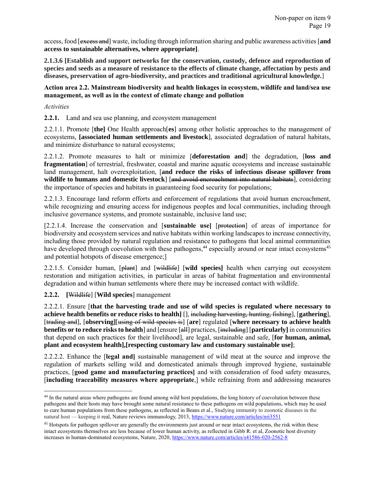access, food [excess and] waste, including through information sharing and public awareness activities [**and access to sustainable alternatives, where appropriate]**.

**2.1.3.6 [Establish and support networks for the conservation, custody, defence and reproduction of species and seeds as a measure of resistance to the effects of climate change, affectation by pests and diseases, preservation of agro-biodiversity, and practices and traditional agricultural knowledge.**]

### **Action area 2.2. Mainstream biodiversity and health linkages in ecosystem, wildlife and land/sea use management, as well as in the context of climate change and pollution**

### *Activities*

 $\overline{a}$ 

**2.2.1.** Land and sea use planning, and ecosystem management

2.2.1.1. Promote [**the]** One Health approach[**es**] among other holistic approaches to the management of ecosystems, **[associated human settlements and livestock**], associated degradation of natural habitats, and minimize disturbance to natural ecosystems;

2.2.1.2. Promote measures to halt or minimize [**deforestation and**] the degradation, [**loss and fragmentation**] of terrestrial, freshwater, coastal and marine aquatic ecosystems and increase sustainable land management, halt overexploitation, [**and reduce the risks of infectious disease spillover from wildlife to humans and domestic livestock**] [and avoid encroachment into natural habitats], considering the importance of species and habitats in guaranteeing food security for populations;

2.2.1.3. Encourage land reform efforts and enforcement of regulations that avoid human encroachment, while recognizing and ensuring access for indigenous peoples and local communities, including through inclusive governance systems, and promote sustainable, inclusive land use;

[2.2.1.4. Increase the conservation and [**sustainable use]** [protection] of areas of importance for biodiversity and ecosystem services and native habitats within working landscapes to increase connectivity, including those provided by natural regulation and resistance to pathogens that local animal communities have developed through coevolution with these pathogens,<sup>44</sup> especially around or near intact ecosystems<sup>45</sup> and potential hotspots of disease emergence;]

2.2.1.5. Consider human, [plant] and [wildlife] [**wild species]** health when carrying out ecosystem restoration and mitigation activities, in particular in areas of habitat fragmentation and environmental degradation and within human settlements where there may be increased contact with wildlife.

**2.2.2. [**Wildlife] [**Wild species**] management

2.2.2.1. Ensure [**that the harvesting trade and use of wild species is regulated where necessary to achieve health benefits or reduce risks to health]** [], including harvesting, hunting, fishing], [**gathering**], [trading and], [**observing]**[using of wild species is] [**are**] regulated [**where necessary to achieve health benefits or to reduce risks to health**] and [ensure [all] practices, [including] [particularly] in communities that depend on such practices for their livelihood], are legal, sustainable and safe, [**for human, animal, plant and ecosystem health],[respecting customary law and customary sustainable use]**;

2.2.2.2. Enhance the [**legal and]** sustainable management of wild meat at the source and improve the regulation of markets selling wild and domesticated animals through improved hygiene, sustainable practices, [**good game and manufacturing practices]** and with consideration of food safety measures, [**including traceability measures where appropriate**,] while refraining from and addressing measures

<sup>&</sup>lt;sup>44</sup> In the natural areas where pathogens are found among wild host populations, the long history of coevolution between these pathogens and their hosts may have brought some natural resistance to these pathogens on wild populations, which may be used to cure human populations from these pathogens, as reflected in Beans et al., Studying immunity to zoonotic diseases in the natural host — keeping it real, Nature reviews immunology, 2013,<https://www.nature.com/articles/nri3551>

<sup>&</sup>lt;sup>45</sup> Hotspots for pathogen spillover are generally the environments just around or near intact ecosystems, the risk within these intact ecosystems themselves are less because of lower human activity, as reflected in Gibb R. et al, Zoonotic host diversity increases in human-dominated ecosystems, Nature, 2020,<https://www.nature.com/articles/s41586-020-2562-8>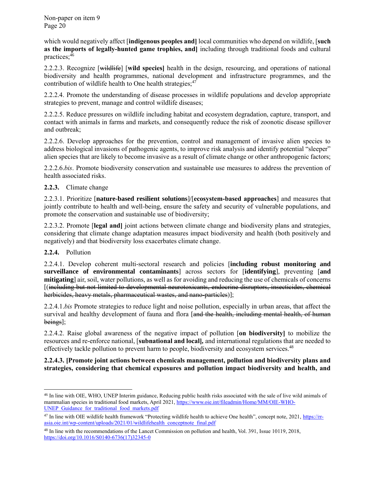which would negatively affect [**indigenous peoples and]** local communities who depend on wildlife, [**such as the imports of legally-hunted game trophies, and]** including through traditional foods and cultural practices; 46

2.2.2.3. Recognize [wildlife] [**wild species]** health in the design, resourcing, and operations of national biodiversity and health programmes, national development and infrastructure programmes, and the contribution of wildlife health to One health strategies; $47$ 

2.2.2.4. Promote the understanding of disease processes in wildlife populations and develop appropriate strategies to prevent, manage and control wildlife diseases;

2.2.2.5. Reduce pressures on wildlife including habitat and ecosystem degradation, capture, transport, and contact with animals in farms and markets, and consequently reduce the risk of zoonotic disease spillover and outbreak;

2.2.2.6. Develop approaches for the prevention, control and management of invasive alien species to address biological invasions of pathogenic agents, to improve risk analysis and identify potential "sleeper" alien species that are likely to become invasive as a result of climate change or other anthropogenic factors;

2.2.2.6.*bis*. Promote biodiversity conservation and sustainable use measures to address the prevention of health associated risks.

# **2.2.3.** Climate change

2.2.3.1. Prioritize [**nature-based resilient solutions**]/[**ecosystem-based approaches**] and measures that jointly contribute to health and well-being, ensure the safety and security of vulnerable populations, and promote the conservation and sustainable use of biodiversity;

2.2.3.2. Promote [**legal and]** joint actions between climate change and biodiversity plans and strategies, considering that climate change adaptation measures impact biodiversity and health (both positively and negatively) and that biodiversity loss exacerbates climate change.

### **2.2.4.** Pollution

 $\overline{a}$ 

2.2.4.1. Develop coherent multi-sectoral research and policies [**including robust monitoring and surveillance of environmental contaminants**] across sectors for [**identifying**], preventing [**and mitigating**] air, soil, water pollutions, as well as for avoiding and reducing the use of chemicals of concerns [(including but not limited to developmental neurotoxicants, endocrine disruptors, insecticides, chemical herbicides, heavy metals, pharmaceutical wastes, and nano-particles)];

2.2.4.1.*bis* Promote strategies to reduce light and noise pollution, especially in urban areas, that affect the survival and healthy development of fauna and flora [and the health, including mental health, of human beings];

2.2.4.2. Raise global awareness of the negative impact of pollution [**on biodiversity]** to mobilize the resources and re-enforce national, [**subnational and local]***,* and international regulations that are needed to effectively tackle pollution to prevent harm to people, biodiversity and ecosystem services.<sup>48</sup>

# **2.2.4.3. [Promote joint actions between chemicals management, pollution and biodiversity plans and strategies, considering that chemical exposures and pollution impact biodiversity and health, and**

<sup>46</sup> In line with OIE, WHO, UNEP Interim guidance, Reducing public health risks associated with the sale of live wild animals of mammalian species in traditional food markets, April 2021[, https://www.oie.int/fileadmin/Home/MM/OIE-WHO-](https://www.oie.int/fileadmin/Home/MM/OIE-WHO-UNEP_Guidance_for_traditional_food_markets.pdf)[UNEP\\_Guidance\\_for\\_traditional\\_food\\_markets.pdf](https://www.oie.int/fileadmin/Home/MM/OIE-WHO-UNEP_Guidance_for_traditional_food_markets.pdf)

<sup>&</sup>lt;sup>47</sup> In line with OIE wildlife health framework "Protecting wildlife health to achieve One health", concept note, 2021[, https://rr](https://rr-asia.oie.int/wp-content/uploads/2021/01/wildlifehealth_conceptnote_final.pdf)[asia.oie.int/wp-content/uploads/2021/01/wildlifehealth\\_conceptnote\\_final.pdf](https://rr-asia.oie.int/wp-content/uploads/2021/01/wildlifehealth_conceptnote_final.pdf)

<sup>48</sup> In line with the recommendations of the Lancet Commission on pollution and health, Vol. 391, Issue 10119, 2018, [https://doi.org/10.1016/S0140-6736\(17\)32345-0](https://doi.org/10.1016/S0140-6736(17)32345-0)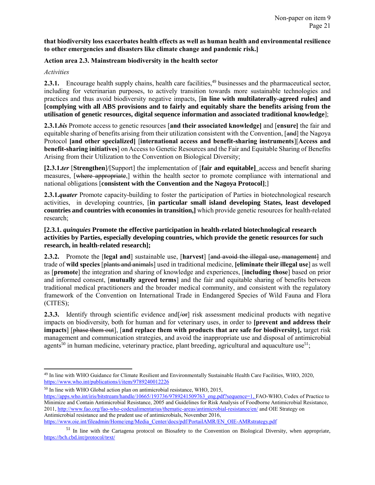# **that biodiversity loss exacerbates health effects as well as human health and environmental resilience to other emergencies and disasters like climate change and pandemic risk.]**

# **Action area 2.3. Mainstream biodiversity in the health sector**

### *Activities*

**2.3.1.** Encourage health supply chains, health care facilities,<sup>49</sup> businesses and the pharmaceutical sector, including for veterinarian purposes, to actively transition towards more sustainable technologies and practices and thus avoid biodiversity negative impacts, [**in line with multilaterally-agreed rules] and [complying with all ABS provisions and to fairly and equitably share the benefits arising from the utilisation of genetic resources, digital sequence information and associated traditional knowledge**];

**2.3.1.***bis* Promote access to genetic resources [**and their associated knowledge]** and [**ensure]** the fair and equitable sharing of benefits arising from their utilization consistent with the Convention, [and] the Nagoya Protocol **[and other specialized]** [**international access and benefit-sharing instruments**][**Access and benefit-sharing initiatives**] on Access to Genetic Resources and the Fair and Equitable Sharing of Benefits Arising from their Utilization to the Convention on Biological Diversity;

**[2.3.1.***ter* [**Strengthen**]/[Support] the implementation of [**fair and equitable]**\_access and benefit sharing measures, [where appropriate,] within the health sector to promote compliance with international and national obligations [**consistent with the Convention and the Nagoya Protocol]**;]

**2.3.1.***quater* Promote capacity-building to foster the participation of Parties in biotechnological research activities, in developing countries, [**in particular small island developing States, least developed countries and countries with economies in transition,]** which provide genetic resources for health-related research;

# **[2.3.1.** *quinquies* **Promote the effective participation in health-related biotechnological research activities by Parties, especially developing countries, which provide the genetic resources for such research, in health-related research];**

**2.3.2.** Promote the **[legal and**] sustainable use, **[harvest**] [and avoid the illegal use, management] and trade of **wild species** [plants and animals] used in traditional medicine, **[eliminate their illegal use**] as well as [**promote**] the integration and sharing of knowledge and experiences, [**including those**] based on prior and informed consent, [**mutually agreed terms**] and the fair and equitable sharing of benefits between traditional medical practitioners and the broader medical community, and consistent with the regulatory framework of the Convention on International Trade in Endangered Species of Wild Fauna and Flora (CITES);

**2.3.3.** Identify through scientific evidence and  $\sqrt{e}$  risk assessment medicinal products with negative impacts on biodiversity, both for human and for veterinary uses, in order to **[prevent and address their impacts**] [phase them out], [**and replace them with products that are safe for biodiversity],** target risk management and communication strategies, and avoid the inappropriate use and disposal of antimicrobial agents<sup>50</sup> in human medicine, veterinary practice, plant breeding, agricultural and aquaculture use<sup>51</sup>;

<sup>50</sup> In line with WHO Global action plan on antimicrobial resistance, WHO, 2015,

 $\overline{\phantom{a}}$ <sup>49</sup> In line with WHO Guidance for Climate Resilient and Environmentally Sustainable Health Care Facilities, WHO, 2020, <https://www.who.int/publications/i/item/9789240012226>

[https://apps.who.int/iris/bitstream/handle/10665/193736/9789241509763\\_eng.pdf?sequence=1,](https://apps.who.int/iris/bitstream/handle/10665/193736/9789241509763_eng.pdf?sequence=1) FAO-WHO, Codex of Practice to Minimize and Contain Antimicrobial Resistance, 2005 and Guidelines for Risk Analysis of Foodborne Antimicrobial Resistance, 2011[, http://www.fao.org/fao-who-codexalimentarius/thematic-areas/antimicrobial-resistance/en/](http://www.fao.org/fao-who-codexalimentarius/thematic-areas/antimicrobial-resistance/en/) and OIE Strategy on Antimicrobial resistance and the prudent use of antimicrobials, November 2016, [https://www.oie.int/fileadmin/Home/eng/Media\\_Center/docs/pdf/PortailAMR/EN\\_OIE-AMRstrategy.pdf](https://www.oie.int/fileadmin/Home/eng/Media_Center/docs/pdf/PortailAMR/EN_OIE-AMRstrategy.pdf)

<sup>51</sup> In line with the Cartagena protocol on Biosafety to the Convention on Biological Diversity, when appropriate, <https://bch.cbd.int/protocol/text/>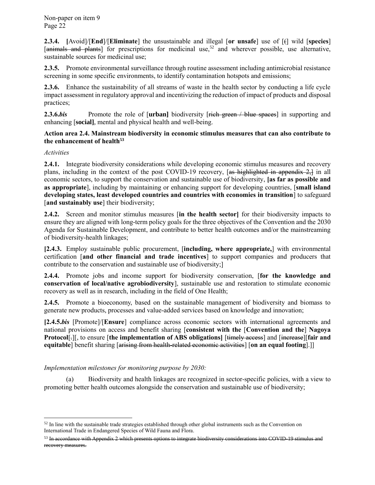**2.3.4. [**Avoid]/[**End**]/[**Eliminate**] the unsustainable and illegal [**or unsafe**] use of [(] wild [**species**]  $[$ animals and plants] for prescriptions for medicinal use,<sup>52</sup> and wherever possible, use alternative, sustainable sources for medicinal use;

**2.3.5.** Promote environmental surveillance through routine assessment including antimicrobial resistance screening in some specific environments, to identify contamination hotspots and emissions;

**2.3.6.** Enhance the sustainability of all streams of waste in the health sector by conducting a life cycle impact assessment in regulatory approval and incentivizing the reduction of impact of products and disposal practices;

**2.3.6.***bis* Promote the role of [urban] biodiversity [rich green / blue spaces] in supporting and enhancing [**social]**, mental and physical health and well-being.

# **Action area 2.4. Mainstream biodiversity in economic stimulus measures that can also contribute to the enhancement of health<sup>53</sup>**

*Activities*

l

**2.4.1.** Integrate biodiversity considerations while developing economic stimulus measures and recovery plans, including in the context of the post COVID-19 recovery, [as highlighted in appendix 2,] in all economic sectors, to support the conservation and sustainable use of biodiversity, **[as far as possible and as appropriate**], including by maintaining or enhancing support for developing countries, [**small island developing states, least developed countries and countries with economies in transition**] to safeguard [**and sustainably use**] their biodiversity;

**2.4.2.** Screen and monitor stimulus measures [**in the health sector]** for their biodiversity impacts to ensure they are aligned with long-term policy goals for the three objectives of the Convention and the 2030 Agenda for Sustainable Development, and contribute to better health outcomes and/or the mainstreaming of biodiversity-health linkages;

**[2.4.3.** Employ sustainable public procurement, [**including, where appropriate,**] with environmental certification [**and other financial and trade incentives**] to support companies and producers that contribute to the conservation and sustainable use of biodiversity;]

**2.4.4.** Promote jobs and income support for biodiversity conservation, [**for the knowledge and conservation of local/native agrobiodiversity**], sustainable use and restoration to stimulate economic recovery as well as in research, including in the field of One Health;

**2.4.5.** Promote a bioeconomy, based on the sustainable management of biodiversity and biomass to generate new products, processes and value-added services based on knowledge and innovation;

**[2.4.5.***bis* [Promote]/[**Ensure**] compliance across economic sectors with international agreements and national provisions on access and benefit sharing [**consistent with the** [**Convention and the**] **Nagoya Protocol**[.][, to ensure [**the implementation of ABS obligations**] [ $\overline{\text{time}}$ ] [ $\overline{\text{time}}$ ] and  $\overline{\text{line}}$  [ $\overline{\text{time}}$ ] [ $\overline{\text{air}}$  and **equitable**] benefit sharing [arising from health-related economic activities] [**on an equal footing**].]]

*Implementation milestones for monitoring purpose by 2030:*

(a) Biodiversity and health linkages are recognized in sector-specific policies, with a view to promoting better health outcomes alongside the conservation and sustainable use of biodiversity;

 $52$  In line with the sustainable trade strategies established through other global instruments such as the Convention on International Trade in Endangered Species of Wild Fauna and Flora.

<sup>&</sup>lt;sup>53</sup> In accordance with Appendix 2 which presents options to integrate biodiversity considerations into COVID-19 stimulus and recovery measures.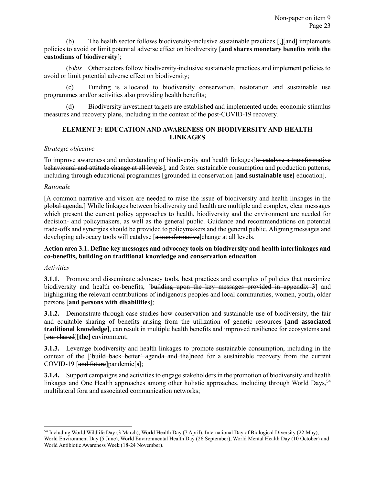(b) The health sector follows biodiversity-inclusive sustainable practices  $\frac{1}{2}$  [ $\frac{1}{2}$ ] implements policies to avoid or limit potential adverse effect on biodiversity [**and shares monetary benefits with the custodians of biodiversity**];

(b)*bis* Other sectors follow biodiversity-inclusive sustainable practices and implement policies to avoid or limit potential adverse effect on biodiversity;

(c) Funding is allocated to biodiversity conservation, restoration and sustainable use programmes and/or activities also providing health benefits;

<span id="page-22-0"></span>(d) Biodiversity investment targets are established and implemented under economic stimulus measures and recovery plans, including in the context of the post-COVID-19 recovery.

# **ELEMENT 3: EDUCATION AND AWARENESS ON BIODIVERSITY AND HEALTH LINKAGES**

# *Strategic objective*

To improve awareness and understanding of biodiversity and health linkages to catalyse a transformative behavioural and attitude change at all levels], and foster sustainable consumption and production patterns, including through educational programmes [grounded in conservation [**and sustainable use]** education].

# *Rationale*

[A common narrative and vision are needed to raise the issue of biodiversity and health linkages in the global agenda.] While linkages between biodiversity and health are multiple and complex, clear messages which present the current policy approaches to health, biodiversity and the environment are needed for decision- and policymakers, as well as the general public. Guidance and recommendations on potential trade-offs and synergies should be provided to policymakers and the general public. Aligning messages and developing advocacy tools will catalyse [a transformative]change at all levels.

# **Action area 3.1. Define key messages and advocacy tools on biodiversity and health interlinkages and co-benefits, building on traditional knowledge and conservation education**

### *Activities*

 $\overline{\phantom{a}}$ 

**3.1.1.** Promote and disseminate advocacy tools, best practices and examples of policies that maximize biodiversity and health co-benefits, [building upon the key messages provided in appendix 3] and highlighting the relevant contributions of indigenous peoples and local communities, women, youth**,** older persons [**and persons with disabilities]**;

**3.1.2.** Demonstrate through case studies how conservation and sustainable use of biodiversity, the fair and equitable sharing of benefits arising from the utilization of genetic resources [**and associated traditional knowledge]**, can result in multiple health benefits and improved resilience for ecosystems and [our shared][**the**] environment;

**3.1.3.** Leverage biodiversity and health linkages to promote sustainable consumption, including in the context of the [<del>'build back better' agenda and the</del>]need for a sustainable recovery from the current COVID-19 [and future]pandemic[**s**];

**3.1.4.** Support campaigns and activities to engage stakeholders in the promotion of biodiversity and health linkages and One Health approaches among other holistic approaches, including through World Days,<sup>54</sup> multilateral fora and associated communication networks;

<sup>54</sup> Including World Wildlife Day (3 March), World Health Day (7 April), International Day of Biological Diversity (22 May), World Environment Day (5 June), World Environmental Health Day (26 September), World Mental Health Day (10 October) and World Antibiotic Awareness Week (18-24 November).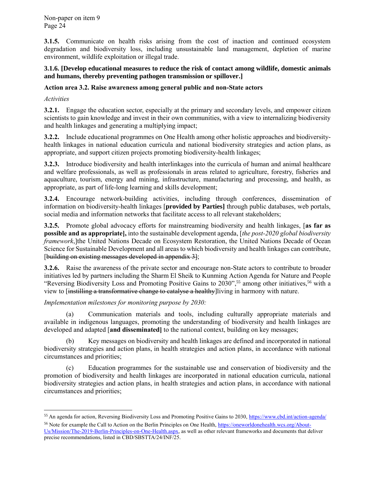**3.1.5.** Communicate on health risks arising from the cost of inaction and continued ecosystem degradation and biodiversity loss, including unsustainable land management, depletion of marine environment, wildlife exploitation or illegal trade.

### **3.1.6. [Develop educational measures to reduce the risk of contact among wildlife, domestic animals and humans, thereby preventing pathogen transmission or spillover.]**

# **Action area 3.2. Raise awareness among general public and non-State actors**

*Activities*

l

**3.2.1.** Engage the education sector, especially at the primary and secondary levels, and empower citizen scientists to gain knowledge and invest in their own communities, with a view to internalizing biodiversity and health linkages and generating a multiplying impact;

**3.2.2.** Include educational programmes on One Health among other holistic approaches and biodiversityhealth linkages in national education curricula and national biodiversity strategies and action plans, as appropriate, and support citizen projects promoting biodiversity-health linkages;

**3.2.3.** Introduce biodiversity and health interlinkages into the curricula of human and animal healthcare and welfare professionals, as well as professionals in areas related to agriculture, forestry, fisheries and aquaculture, tourism, energy and mining, infrastructure, manufacturing and processing, and health, as appropriate, as part of life-long learning and skills development;

**3.2.4.** Encourage network-building activities, including through conferences, dissemination of information on biodiversity-health linkages [**provided by Parties]** through public databases, web portals, social media and information networks that facilitate access to all relevant stakeholders;

**3.2.5.** Promote global advocacy efforts for mainstreaming biodiversity and health linkages, [**as far as possible and as appropriate],** into the sustainable development agenda, [*the post-2020 global biodiversity framework*,]the United Nations Decade on Ecosystem Restoration, the United Nations Decade of Ocean Science for Sustainable Development and all areas to which biodiversity and health linkages can contribute, [building on existing messages developed in appendix 3];

**3.2.6.** Raise the awareness of the private sector and encourage non-State actors to contribute to broader initiatives led by partners including the Sharm El Sheik to Kunming Action Agenda for Nature and People "Reversing Biodiversity Loss and Promoting Positive Gains to 2030",<sup>55</sup> among other initiatives,<sup>56</sup> with a view to [instilling a transformative change to catalyse a healthy]living in harmony with nature.

*Implementation milestones for monitoring purpose by 2030:*

(a) Communication materials and tools, including culturally appropriate materials and available in indigenous languages, promoting the understanding of biodiversity and health linkages are developed and adapted [**and disseminated]** to the national context, building on key messages;

(b) Key messages on biodiversity and health linkages are defined and incorporated in national biodiversity strategies and action plans, in health strategies and action plans, in accordance with national circumstances and priorities;

(c) Education programmes for the sustainable use and conservation of biodiversity and the promotion of biodiversity and health linkages are incorporated in national education curricula, national biodiversity strategies and action plans, in health strategies and action plans, in accordance with national circumstances and priorities;

<sup>&</sup>lt;sup>55</sup> An agenda for action, Reversing Biodiversity Loss and Promoting Positive Gains to 2030, https://www.cbd.int/action-agenda/ <sup>56</sup> Note for example the Call to Action on the Berlin Principles on One Health, [https://oneworldonehealth.wcs.org/About-](https://oneworldonehealth.wcs.org/About-Us/Mission/The-2019-Berlin-Principles-on-One-Health.aspx)[Us/Mission/The-2019-Berlin-Principles-on-One-Health.aspx,](https://oneworldonehealth.wcs.org/About-Us/Mission/The-2019-Berlin-Principles-on-One-Health.aspx) as well as other relevant frameworks and documents that deliver precise recommendations, listed in CBD/SBSTTA/24/INF/25.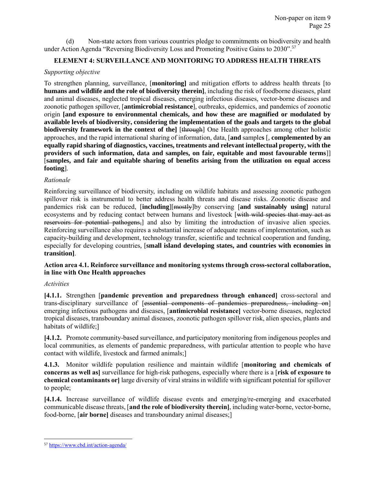(d) Non-state actors from various countries pledge to commitments on biodiversity and health under Action Agenda "Reversing Biodiversity Loss and Promoting Positive Gains to 2030".<sup>57</sup>

# <span id="page-24-0"></span>**ELEMENT 4: SURVEILLANCE AND MONITORING TO ADDRESS HEALTH THREATS**

# *Supporting objective*

To strengthen planning, surveillance, [**monitoring]** and mitigation efforts to address health threats [to **humans and wildlife and the role of biodiversity therein]**, including the risk of foodborne diseases, plant and animal diseases, neglected tropical diseases, emerging infectious diseases, vector-borne diseases and zoonotic pathogen spillover, [**antimicrobial resistance**], outbreaks, epidemics, and pandemics of zoonotic origin **[and exposure to environmental chemicals, and how these are magnified or modulated by available levels of biodiversity, considering the implementation of the goals and targets to the global biodiversity framework in the context of the]** [through] One Health approaches among other holistic approaches, and the rapid international sharing of information, data, [**and** sample**s** [, **complemented by an equally rapid sharing of diagnostics, vaccines, treatments and relevant intellectual property, with the providers of such information, data and samples, on fair, equitable and most favourable terms**]] [**samples, and fair and equitable sharing of benefits arising from the utilization on equal access footing**].

# *Rationale*

Reinforcing surveillance of biodiversity, including on wildlife habitats and assessing zoonotic pathogen spillover risk is instrumental to better address health threats and disease risks. Zoonotic disease and pandemics risk can be reduced, [**including**][mostly]by conserving [**and sustainably using]** natural ecosystems and by reducing contact between humans and livestock [with wild species that may act as reservoirs for potential pathogens,] and also by limiting the introduction of invasive alien species. Reinforcing surveillance also requires a substantial increase of adequate means of implementation, such as capacity-building and development, technology transfer, scientific and technical cooperation and funding, especially for developing countries, [**small island developing states, and countries with economies in transition]**.

# **Action area 4.1. Reinforce surveillance and monitoring systems through cross-sectoral collaboration, in line with One Health approaches**

### *Activities*

**[4.1.1.** Strengthen [**pandemic prevention and preparedness through enhanced]** cross-sectoral and trans-disciplinary surveillance of [essential components of pandemics preparedness, including on] emerging infectious pathogens and diseases, [**antimicrobial resistance]** vector-borne diseases, neglected tropical diseases, transboundary animal diseases, zoonotic pathogen spillover risk, alien species, plants and habitats of wildlife;]

**[4.1.2.** Promote community-based surveillance, and participatory monitoring from indigenous peoples and local communities, as elements of pandemic preparedness, with particular attention to people who have contact with wildlife, livestock and farmed animals;]

**4.1.3.** Monitor wildlife population resilience and maintain wildlife [**monitoring and chemicals of concerns as well as]** surveillance for high-risk pathogens, especially where there is a [**risk of exposure to chemical contaminants or]** large diversity of viral strains in wildlife with significant potential for spillover to people;

**[4.1.4.** Increase surveillance of wildlife disease events and emerging/re-emerging and exacerbated communicable disease threats, [**and the role of biodiversity therein]**, including water-borne, vector-borne, food-borne, [**air borne]** diseases and transboundary animal diseases;]

l 57 https://www.cbd.int/action-agenda/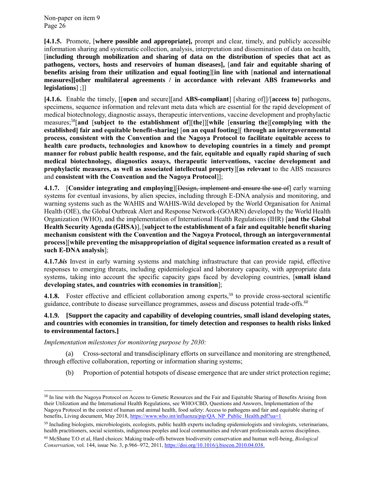**[4.1.5.** Promote, [**where possible and appropriate],** prompt and clear, timely, and publicly accessible information sharing and systematic collection, analysis, interpretation and dissemination of data on health, [**including through mobilization and sharing of data on the distribution of species that act as pathogens, vectors, hosts and reservoirs of human diseases],** [**and fair and equitable sharing of benefits arising from their utilization and equal footing**][**in line with** [**national and international measures][other multilateral agreements / in accordance with relevant ABS frameworks and legislations**] ;]]

**[4.1.6.** Enable the timely, [[**open** and secure][and **ABS-compliant**] [sharing of]]/[**access to**] pathogens, specimens, sequence information and relevant meta data which are essential for the rapid development of medical biotechnology, diagnostic assays, therapeutic interventions, vaccine development and prophylactic measures;<sup>58</sup>[**and** [**subject to the establishment of**][**the**]][**while** [**ensuring the**][**complying with the established] fair and equitable benefit-sharing]** [**on an equal footing**][ **through an intergovernmental process, consistent with the Convention and the Nagoya Protocol to facilitate equitable access to health care products, technologies and knowhow to developing countries in a timely and prompt manner for robust public health response, and the fair, equitable and equally rapid sharing of such medical biotechnology, diagnostics assays, therapeutic interventions, vaccine development and prophylactic measures, as well as associated intellectual property**][**as relevant** to the ABS measures and **consistent with the Convention and the Nagoya Protocol**]];

**4.1.7.** [**Consider integrating and employing**][Design, implement and ensure the use of] early warning systems for eventual invasions, by alien species, including through E-DNA analysis and monitoring, and warning systems such as the WAHIS and WAHIS-Wild developed by the World Organisation for Animal Health (OIE), the Global Outbreak Alert and Response Network-(GOARN) developed by the World Health Organization (WHO), and the implementation of International Health Regulations (IHR) [**and the Global Health Security Agenda (GHSA)**], [**subject to the establishment of a fair and equitable benefit sharing mechanism consistent with the Convention and the Nagoya Protocol, through an intergovernmental process**][**while preventing the misappropriation of digital sequence information created as a result of such E-DNA analysis**];

**4.1.7.***bis* Invest in early warning systems and matching infrastructure that can provide rapid, effective responses to emerging threats, including epidemiological and laboratory capacity, with appropriate data systems, taking into account the specific capacity gaps faced by developing countries, [**small island developing states, and countries with economies in transition**];

**4.1.8.** Foster effective and efficient collaboration among experts,<sup>59</sup> to provide cross-sectoral scientific guidance, contribute to disease surveillance programmes, assess and discuss potential trade-offs.<sup>60</sup>

### **4.1.9. [Support the capacity and capability of developing countries, small island developing states, and countries with economies in transition, for timely detection and responses to health risks linked to environmental factors.]**

*Implementation milestones for monitoring purpose by 2030:*

 $\overline{\phantom{a}}$ 

(a) Cross-sectoral and transdisciplinary efforts on surveillance and monitoring are strengthened, through effective collaboration, reporting or information sharing systems;

(b) Proportion of potential hotspots of disease emergence that are under strict protection regime;

<sup>58</sup> In line with the Nagoya Protocol on Access to Genetic Resources and the Fair and Equitable Sharing of Benefits Arising from their Utilization and the International Health Regulations, see WHO/CBD, Questions and Answers, Implementation of the Nagoya Protocol in the context of human and animal health, food safety: Access to pathogens and fair and equitable sharing of benefits, Living document, May 2018[, https://www.who.int/influenza/pip/QA\\_NP\\_Public\\_Health.pdf?ua=1](https://www.who.int/influenza/pip/QA_NP_Public_Health.pdf?ua=1)

<sup>59</sup> Including biologists, microbiologists, ecologists, public health experts including epidemiologists and virologists, veterinarians, health practitioners, social scientists, indigenous peoples and local communities and relevant professionals across disciplines.

<sup>60</sup> McShane T.O et al, Hard choices: Making trade-offs between biodiversity conservation and human well-being, *Biological Conservation*, vol. 144, issue No. 3, p.966–972, 2011[, https://doi.org/10.1016/j.biocon.2010.04.038.](https://doi.org/10.1016/j.biocon.2010.04.038)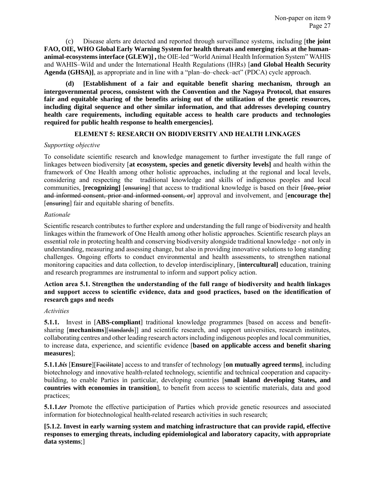(c) Disease alerts are detected and reported through surveillance systems, including [**the joint FAO, OIE, WHO Global Early Warning System for health threats and emerging risks at the humananimal-ecosystems interface (GLEW)] ,** the OIE-led "World Animal Health Information System" WAHIS and WAHIS–Wild and under the International Health Regulations (IHRs) [**and Global Health Security Agenda (GHSA)]**, as appropriate and in line with a "plan–do–check–act" (PDCA) cycle approach.

**(d) [Establishment of a fair and equitable benefit sharing mechanism, through an intergovernmental process, consistent with the Convention and the Nagoya Protocol, that ensures fair and equitable sharing of the benefits arising out of the utilization of the genetic resources, including digital sequence and other similar information, and that addresses developing country health care requirements, including equitable access to health care products and technologies required for public health response to health emergencies].**

### **ELEMENT 5: RESEARCH ON BIODIVERSITY AND HEALTH LINKAGES**

# <span id="page-26-0"></span>*Supporting objective*

To consolidate scientific research and knowledge management to further investigate the full range of linkages between biodiversity [**at ecosystem, species and genetic diversity levels]** and health within the framework of One Health among other holistic approaches, including at the regional and local levels, considering and respecting the traditional knowledge and skills of indigenous peoples and local communities, **[recognizing]** [ensuring] that access to traditional knowledge is based on their [free, prior] and informed consent, prior and informed consent, or] approval and involvement, and [**encourage the]** [ensuring] fair and equitable sharing of benefits.

# *Rationale*

Scientific research contributes to further explore and understanding the full range of biodiversity and health linkages within the framework of One Health among other holistic approaches. Scientific research plays an essential role in protecting health and conserving biodiversity alongside traditional knowledge - not only in understanding, measuring and assessing change, but also in providing innovative solutions to long standing challenges. Ongoing efforts to conduct environmental and health assessments, to strengthen national monitoring capacities and data collection, to develop interdisciplinary, [**intercultural]** education, training and research programmes are instrumental to inform and support policy action.

# **Action area 5.1. Strengthen the understanding of the full range of biodiversity and health linkages and support access to scientific evidence, data and good practices, based on the identification of research gaps and needs**

### *Activities*

**5.1.1.** Invest in [**ABS-compliant**] traditional knowledge programmes [based on access and benefitsharing [**mechanisms**][standards]] and scientific research, and support universities, research institutes, collaborating centres and other leading research actors including indigenous peoples and local communities, to increase data, experience, and scientific evidence [**based on applicable access and benefit sharing measures**];

**5.1.1.***bis* [**Ensure**][Facilitate] access to and transfer of technology [**on mutually agreed terms]**, including biotechnology and innovative health-related technology, scientific and technical cooperation and capacitybuilding, to enable Parties in particular, developing countries [**small island developing States, and countries with economies in transition**], to benefit from access to scientific materials, data and good practices;

**5.1.1.***ter* Promote the effective participation of Parties which provide genetic resources and associated information for biotechnological health-related research activities in such research;

**[5.1.2. Invest in early warning system and matching infrastructure that can provide rapid, effective responses to emerging threats, including epidemiological and laboratory capacity, with appropriate data systems**;]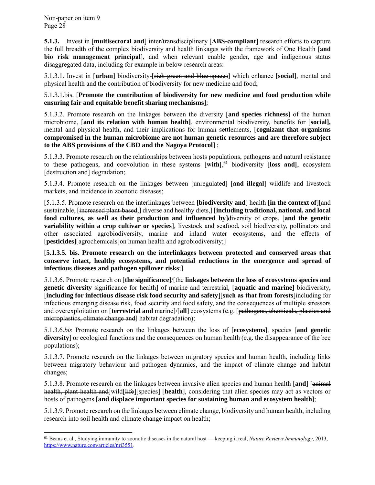l

**5.1.3.** Invest in [**multisectoral and**] inter/transdisciplinary [**ABS-compliant**] research efforts to capture the full breadth of the complex biodiversity and health linkages with the framework of One Health [**and bio risk management principal**], and when relevant enable gender, age and indigenous status disaggregated data, including for example in below research areas:

5.1.3.1. Invest in [**urban**] biodiversity-[rich green and blue spaces] which enhance [**social**], mental and physical health and the contribution of biodiversity for new medicine and food;

5.1.3.1.bis. [**Promote the contribution of biodiversity for new medicine and food production while ensuring fair and equitable benefit sharing mechanisms**];

5.1.3.2. Promote research on the linkages between the diversity [**and species richness]** of the human microbiome, [**and its relation with human health]**, environmental biodiversity, benefits for [**social],** mental and physical health, and their implications for human settlements, [**cognizant that organisms compromised in the human microbiome are not human genetic resources and are therefore subject to the ABS provisions of the CBD and the Nagoya Protocol**] ;

5.1.3.3. Promote research on the relationships between hosts populations, pathogens and natural resistance to these pathogens, and coevolution in these systems [**with]**, <sup>61</sup> biodiversity [**loss and]**, ecosystem [destruction and] degradation;

5.1.3.4. Promote research on the linkages between [unregulated] [**and illegal]** wildlife and livestock markets, and incidence in zoonotic diseases;

[5.1.3.5. Promote research on the interlinkages between **[biodiversity and**] health [**in the context of**][and sustainable, [increased plant-based,] diverse and healthy diets,] [**including traditional, national, and local food cultures, as well as their production and influenced by**]diversity of crops, [**and the genetic variability within a crop cultivar or species**], livestock and seafood, soil biodiversity, pollinators and other associated agrobiodiversity, marine and inland water ecosystems, and the effects of [**pesticides**][agrochemicals]on human health and agrobiodiversity;]

[**5.1.3.5. bis. Promote research on the interlinkages between protected and conserved areas that conserve intact, healthy ecosystems, and potential reductions in the emergence and spread of infectious diseases and pathogen spillover risks**;]

5.1.3.6. Promote research on [**the significance**]/[the **linkages between the loss of ecosystems species and genetic diversity** significance for health] of marine and terrestrial, [**aquatic and marine]** biodiversity, [**including for infectious disease risk food security and safety**][**such as that from forests**]including for infectious emerging disease risk, food security and food safety, and the consequences of multiple stressors and overexploitation on [**terrestrial and** marine]/[**all**] ecosystems (e.g. [pathogens, chemicals, plastics and microplastics, climate change and] habitat degradation);

5.1.3.6.*bis* Promote research on the linkages between the loss of [**ecosystems**], species [**and genetic diversity** or ecological functions and the consequences on human health (e.g. the disappearance of the bee populations);

5.1.3.7. Promote research on the linkages between migratory species and human health, including links between migratory behaviour and pathogen dynamics, and the impact of climate change and habitat changes;

5.1.3.8. Promote research on the linkages between invasive alien species and human health [**and**] [animal health, plant health and]wild[life][species] [**health**], considering that alien species may act as vectors or hosts of pathogens [**and displace important species for sustaining human and ecosystem health]**;

5.1.3.9. Promote research on the linkages between climate change, biodiversity and human health, including research into soil health and climate change impact on health;

<sup>61</sup> Beans et al., Studying immunity to zoonotic diseases in the natural host — keeping it real, *Nature Reviews Immunology*, 2013, [https://www.nature.com/articles/nri3551.](https://www.nature.com/articles/nri3551)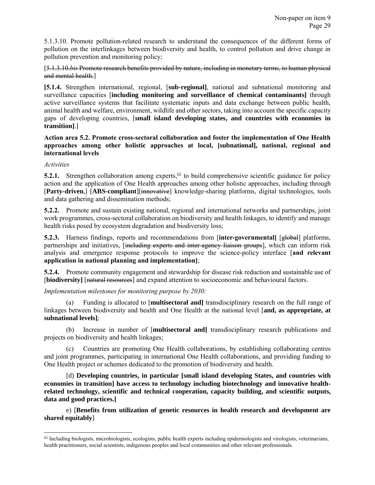5.1.3.10. Promote pollution-related research to understand the consequences of the different forms of pollution on the interlinkages between biodiversity and health, to control pollution and drive change in pollution prevention and monitoring policy;

[5.1.3.10.*bis* Promote research benefits provided by nature, including in monetary terms, to human physical and mental health.]

**[5.1.4.** Strengthen international, regional, [**sub-regional]**, national and subnational monitoring and surveillance capacities [**including monitoring and surveillance of chemical contaminants]** through active surveillance systems that facilitate systematic inputs and data exchange between public health, animal health and welfare, environment, wildlife and other sectors, taking into account the specific capacity gaps of developing countries, [**small island developing states, and countries with economies in transition]**.]

**Action area 5.2. Promote cross-sectoral collaboration and foster the implementation of One Health approaches among other holistic approaches at local, [subnational], national, regional and international levels**

*Activities*

l

**5.2.1.** Strengthen collaboration among experts,<sup> $62$ </sup> to build comprehensive scientific guidance for policy action and the application of One Health approaches among other holistic approaches, including through [**Party-driven**,] [**ABS-compliant**][innovative] knowledge-sharing platforms, digital technologies, tools and data gathering and dissemination methods;

**5.2.2.** Promote and sustain existing national, regional and international networks and partnerships, joint work programmes, cross-sectoral collaboration on biodiversity and health linkages, to identify and manage health risks posed by ecosystem degradation and biodiversity loss;

**5.2.3.** Harness findings, reports and recommendations from [**inter-governmental**] [global] platforms, partnerships and initiatives, [including experts and inter-agency liaison groups], which can inform risk analysis and emergence response protocols to improve the science-policy interface [**and relevant application in national planning and implementation]**;

**5.2.4.** Promote community engagement and stewardship for disease risk reduction and sustainable use of [biodiversity] [natural resources] and expand attention to socioeconomic and behavioural factors.

*Implementation milestones for monitoring purpose by 2030:*

(a) Funding is allocated to [**multisectoral and]** transdisciplinary research on the full range of linkages between biodiversity and health and One Health at the national level [**and, as appropriate, at subnational levels]**;

(b) Increase in number of [**multisectoral and]** transdisciplinary research publications and projects on biodiversity and health linkages;

(c) Countries are promoting One Health collaborations, by establishing collaborating centres and joint programmes, participating in international One Health collaborations, and providing funding to One Health project or schemes dedicated to the promotion of biodiversity and health.

[d) **Developing countries, in particular [small island developing States, and countries with economies in transition] have access to technology including biotechnology and innovative healthrelated technology, scientific and technical cooperation, capacity building, and scientific outputs, data and good practices.]**

e) [**Benefits from utilization of genetic resources in health research and development are shared equitably**]

 $62$  Including biologists, microbiologists, ecologists, public health experts including epidemiologists and virologists, veterinarians, health practitioners, social scientists, indigenous peoples and local communities and other relevant professionals.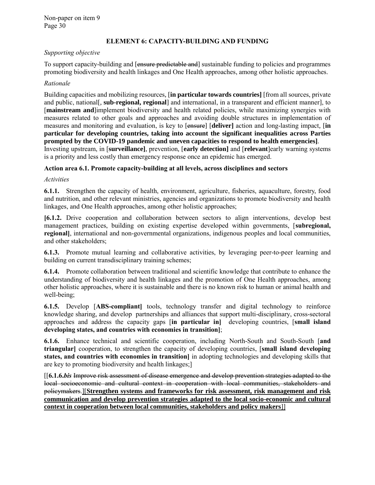### **ELEMENT 6: CAPACITY-BUILDING AND FUNDING**

#### <span id="page-29-0"></span>*Supporting objective*

To support capacity-building and [ensure predictable and] sustainable funding to policies and programmes promoting biodiversity and health linkages and One Health approaches, among other holistic approaches.

#### *Rationale*

Building capacities and mobilizing resources, [**in particular towards countries]** [from all sources, private and public, national[, **sub-regional, regional**] and international, in a transparent and efficient manner], to [**mainstream and**]implement biodiversity and health related policies, while maximizing synergies with measures related to other goals and approaches and avoiding double structures in implementation of measures and monitoring and evaluation, is key to [ensure] [**deliver]** action and long-lasting impact, [**in particular for developing countries, taking into account the significant inequalities across Parties prompted by the COVID-19 pandemic and uneven capacities to respond to health emergencies]**. Investing upstream, in [**surveillance]**, prevention, [**early detection]** and [**relevant**]early warning systems is a priority and less costly than emergency response once an epidemic has emerged.

#### **Action area 6.1. Promote capacity-building at all levels, across disciplines and sectors**

*Activities*

**6.1.1.** Strengthen the capacity of health, environment, agriculture, fisheries, aquaculture, forestry, food and nutrition, and other relevant ministries, agencies and organizations to promote biodiversity and health linkages, and One Health approaches, among other holistic approaches;

**[6.1.2.** Drive cooperation and collaboration between sectors to align interventions, develop best management practices, building on existing expertise developed within governments, [**subregional, regional]**, international and non-governmental organizations, indigenous peoples and local communities, and other stakeholders;

**6.1.3.** Promote mutual learning and collaborative activities, by leveraging peer-to-peer learning and building on current transdisciplinary training schemes;

**6.1.4.** Promote collaboration between traditional and scientific knowledge that contribute to enhance the understanding of biodiversity and health linkages and the promotion of One Health approaches, among other holistic approaches, where it is sustainable and there is no known risk to human or animal health and well-being;

**6.1.5.** Develop [**ABS-compliant]** tools, technology transfer and digital technology to reinforce knowledge sharing, and develop partnerships and alliances that support multi-disciplinary, cross-sectoral approaches and address the capacity gaps [**in particular in]** developing countries, [**small island developing states, and countries with economies in transition]**;

**6.1.6.** Enhance technical and scientific cooperation, including North-South and South-South [**and triangular]** cooperation, to strengthen the capacity of developing countries, [**small island developing states, and countries with economies in transition]** in adopting technologies and developing skills that are key to promoting biodiversity and health linkages;]

[[**6.1.6.***bis* Improve risk assessment of disease emergence and develop prevention strategies adapted to the local socioeconomic and cultural context in cooperation with local communities, stakeholders and policymakers.][**Strengthen systems and frameworks for risk assessment, risk management and risk communication and develop prevention strategies adapted to the local socio-economic and cultural context in cooperation between local communities, stakeholders and policy makers**]]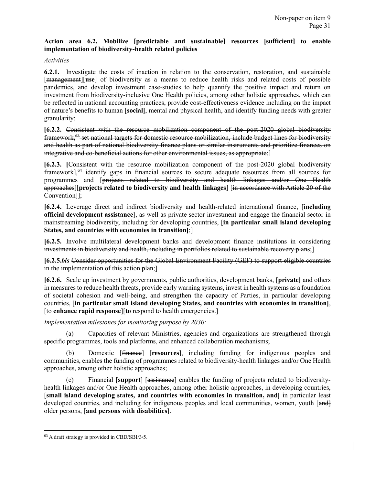# **Action area 6.2. Mobilize [predictable and sustainable] resources [sufficient] to enable implementation of biodiversity-health related policies**

### *Activities*

**6.2.1.** Investigate the costs of inaction in relation to the conservation, restoration, and sustainable [management][**use**] of biodiversity as a means to reduce health risks and related costs of possible pandemics, and develop investment case-studies to help quantify the positive impact and return on investment from biodiversity-inclusive One Health policies, among other holistic approaches, which can be reflected in national accounting practices, provide cost-effectiveness evidence including on the impact of nature's benefits to human [**social]**, mental and physical health, and identify funding needs with greater granularity;

**[6.2.2.** Consistent with the resource mobilization component of the post-2020 global biodiversity framework,<sup>63</sup> set national targets for domestic resource mobilization, include budget lines for biodiversity and health as part of national biodiversity finance plans or similar instruments and prioritize finances on integrative and co-beneficial actions for other environmental issues, as appropriate;]

**[6.2.3. [**Consistent with the resource mobilization component of the post-2020 global biodiversity framework]<sup>64</sup> identify gaps in financial sources to secure adequate resources from all sources for programmes and [projects related to biodiversity and health linkages and/or One Health approaches][**projects related to biodiversity and health linkages**] [in accordance with Article 20 of the Convention]];

**[6.2.4.** Leverage direct and indirect biodiversity and health-related international finance, [**including official development assistance]**, as well as private sector investment and engage the financial sector in mainstreaming biodiversity, including for developing countries, [**in particular small island developing States, and countries with economies in transition]**;]

**[6.2.5.** Involve multilateral development banks and development finance institutions in considering investments in biodiversity and health, including in portfolios related to sustainable recovery plans; [1]

**[6.2.5.***bis* Consider opportunities for the Global Environment Facility (GEF) to support eligible countries in the implementation of this action plan;]

**[6.2.6.** Scale up investment by governments, public authorities, development banks, [**private]** and others in measures to reduce health threats, provide early warning systems, invest in health systems as a foundation of societal cohesion and well-being, and strengthen the capacity of Parties, in particular developing countries, [**in particular small island developing States, and countries with economies in transition]**, [to **enhance rapid response**][**to** respond to health emergencies.]

*Implementation milestones for monitoring purpose by 2030:*

Capacities of relevant Ministries, agencies and organizations are strengthened through specific programmes, tools and platforms, and enhanced collaboration mechanisms;

(b) Domestic [finance] [**resources**], including funding for indigenous peoples and communities, enables the funding of programmes related to biodiversity-health linkages and/or One Health approaches, among other holistic approaches;

(c) Financial [**support**] [assistance] enables the funding of projects related to biodiversityhealth linkages and/or One Health approaches, among other holistic approaches, in developing countries, [**small island developing states, and countries with economies in transition, and]** in particular least developed countries, and including for indigenous peoples and local communities, women, youth [and] older persons, [**and persons with disabilities]**.

l <sup>63</sup> A draft strategy is provided in CBD/SBI/3/5.